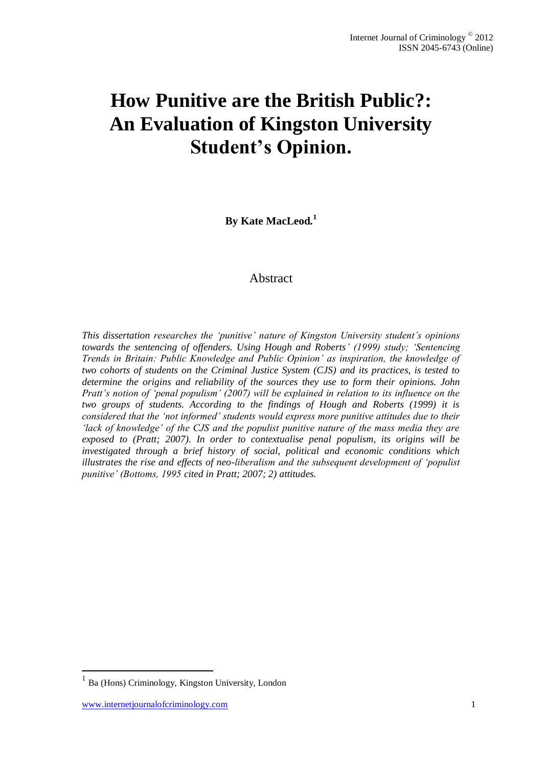# **How Punitive are the British Public?: An Evaluation of Kingston University Student's Opinion.**

**By Kate MacLeod.<sup>1</sup>**

# Abstract

*This dissertation researches the 'punitive' nature of Kingston University student's opinions towards the sentencing of offenders. Using Hough and Roberts' (1999) study; 'Sentencing Trends in Britain: Public Knowledge and Public Opinion' as inspiration, the knowledge of two cohorts of students on the Criminal Justice System (CJS) and its practices, is tested to determine the origins and reliability of the sources they use to form their opinions. John Pratt's notion of 'penal populism' (2007) will be explained in relation to its influence on the two groups of students. According to the findings of Hough and Roberts (1999) it is considered that the 'not informed' students would express more punitive attitudes due to their 'lack of knowledge' of the CJS and the populist punitive nature of the mass media they are exposed to (Pratt; 2007). In order to contextualise penal populism, its origins will be investigated through a brief history of social, political and economic conditions which illustrates the rise and effects of neo-liberalism and the subsequent development of 'populist punitive' (Bottoms, 1995 cited in Pratt; 2007; 2) attitudes.*

 $\overline{a}$ 

<sup>1</sup> Ba (Hons) Criminology, Kingston University, London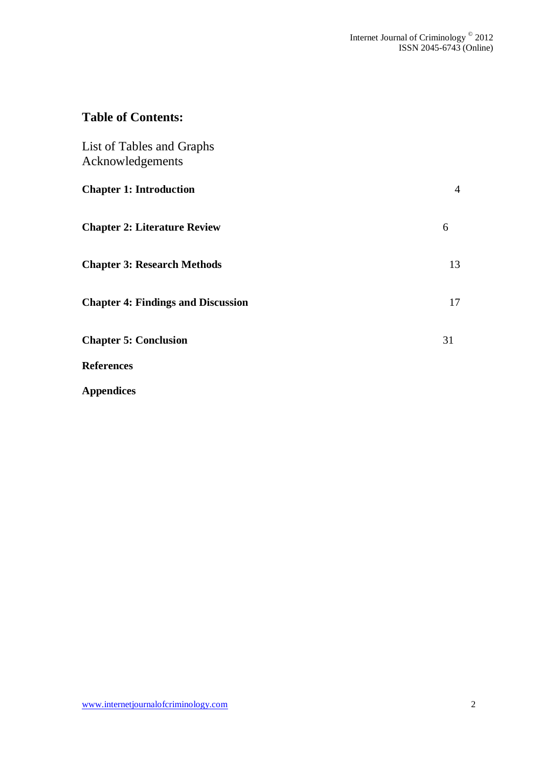# **Table of Contents:**

| <b>List of Tables and Graphs</b><br>Acknowledgements |                |
|------------------------------------------------------|----------------|
| <b>Chapter 1: Introduction</b>                       | $\overline{4}$ |
| <b>Chapter 2: Literature Review</b>                  | 6              |
| <b>Chapter 3: Research Methods</b>                   | 13             |
| <b>Chapter 4: Findings and Discussion</b>            | 17             |
| <b>Chapter 5: Conclusion</b>                         | 31             |
| <b>References</b>                                    |                |

**Appendices**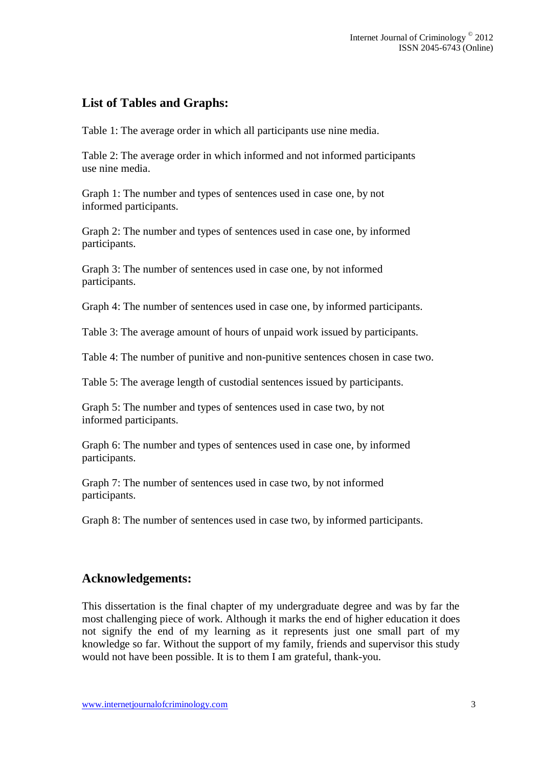# **List of Tables and Graphs:**

Table 1: The average order in which all participants use nine media.

Table 2: The average order in which informed and not informed participants use nine media.

Graph 1: The number and types of sentences used in case one, by not informed participants.

Graph 2: The number and types of sentences used in case one, by informed participants.

Graph 3: The number of sentences used in case one, by not informed participants.

Graph 4: The number of sentences used in case one, by informed participants.

Table 3: The average amount of hours of unpaid work issued by participants.

Table 4: The number of punitive and non-punitive sentences chosen in case two.

Table 5: The average length of custodial sentences issued by participants.

Graph 5: The number and types of sentences used in case two, by not informed participants.

Graph 6: The number and types of sentences used in case one, by informed participants.

Graph 7: The number of sentences used in case two, by not informed participants.

Graph 8: The number of sentences used in case two, by informed participants.

### **Acknowledgements:**

This dissertation is the final chapter of my undergraduate degree and was by far the most challenging piece of work. Although it marks the end of higher education it does not signify the end of my learning as it represents just one small part of my knowledge so far. Without the support of my family, friends and supervisor this study would not have been possible. It is to them I am grateful, thank-you.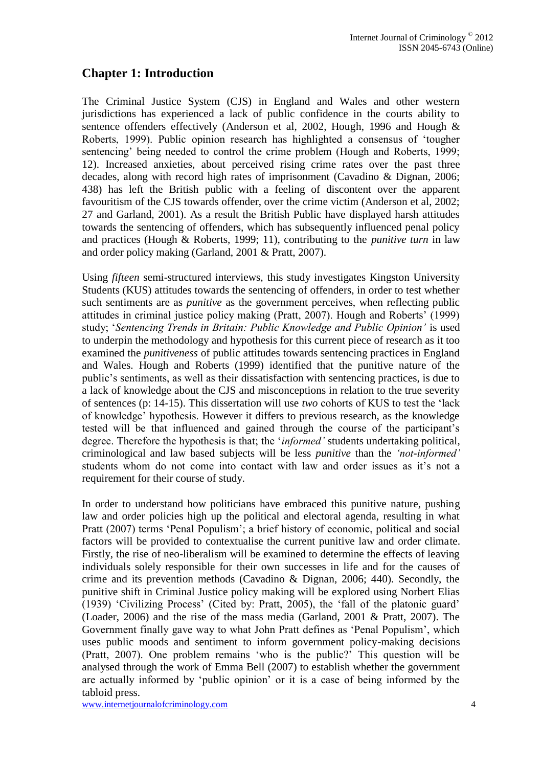# **Chapter 1: Introduction**

The Criminal Justice System (CJS) in England and Wales and other western jurisdictions has experienced a lack of public confidence in the courts ability to sentence offenders effectively (Anderson et al, 2002, Hough, 1996 and Hough & Roberts, 1999). Public opinion research has highlighted a consensus of 'tougher sentencing' being needed to control the crime problem (Hough and Roberts, 1999; 12). Increased anxieties, about perceived rising crime rates over the past three decades, along with record high rates of imprisonment (Cavadino & Dignan, 2006; 438) has left the British public with a feeling of discontent over the apparent favouritism of the CJS towards offender, over the crime victim (Anderson et al, 2002; 27 and Garland, 2001). As a result the British Public have displayed harsh attitudes towards the sentencing of offenders, which has subsequently influenced penal policy and practices (Hough & Roberts, 1999; 11), contributing to the *punitive turn* in law and order policy making (Garland, 2001 & Pratt, 2007).

Using *fifteen* semi-structured interviews, this study investigates Kingston University Students (KUS) attitudes towards the sentencing of offenders, in order to test whether such sentiments are as *punitive* as the government perceives, when reflecting public attitudes in criminal justice policy making (Pratt, 2007). Hough and Roberts' (1999) study; '*Sentencing Trends in Britain: Public Knowledge and Public Opinion'* is used to underpin the methodology and hypothesis for this current piece of research as it too examined the *punitiveness* of public attitudes towards sentencing practices in England and Wales. Hough and Roberts (1999) identified that the punitive nature of the public's sentiments, as well as their dissatisfaction with sentencing practices, is due to a lack of knowledge about the CJS and misconceptions in relation to the true severity of sentences (p: 14-15). This dissertation will use *two* cohorts of KUS to test the 'lack of knowledge' hypothesis. However it differs to previous research, as the knowledge tested will be that influenced and gained through the course of the participant's degree. Therefore the hypothesis is that; the '*informed'* students undertaking political, criminological and law based subjects will be less *punitive* than the *'not-informed'* students whom do not come into contact with law and order issues as it's not a requirement for their course of study.

In order to understand how politicians have embraced this punitive nature, pushing law and order policies high up the political and electoral agenda, resulting in what Pratt (2007) terms 'Penal Populism'; a brief history of economic, political and social factors will be provided to contextualise the current punitive law and order climate. Firstly, the rise of neo-liberalism will be examined to determine the effects of leaving individuals solely responsible for their own successes in life and for the causes of crime and its prevention methods (Cavadino & Dignan, 2006; 440). Secondly, the punitive shift in Criminal Justice policy making will be explored using Norbert Elias (1939) 'Civilizing Process' (Cited by: Pratt, 2005), the 'fall of the platonic guard' (Loader, 2006) and the rise of the mass media (Garland, 2001 & Pratt, 2007). The Government finally gave way to what John Pratt defines as 'Penal Populism', which uses public moods and sentiment to inform government policy-making decisions (Pratt, 2007). One problem remains 'who is the public?' This question will be analysed through the work of Emma Bell (2007) to establish whether the government are actually informed by 'public opinion' or it is a case of being informed by the tabloid press.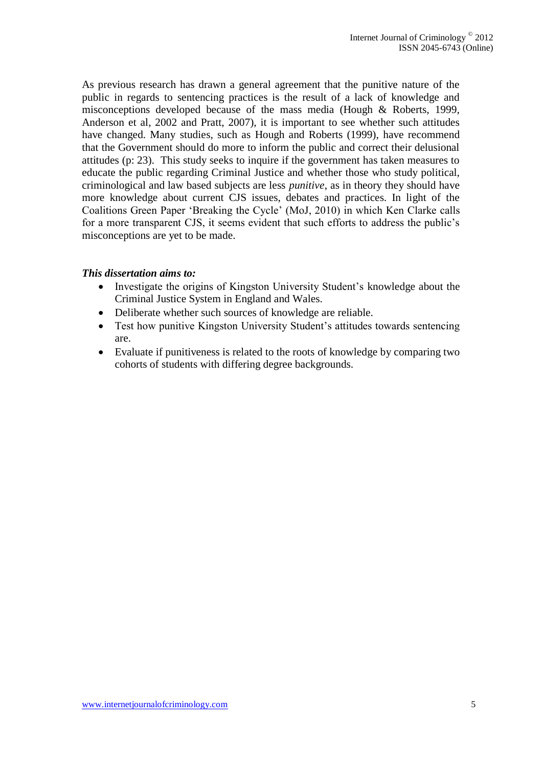As previous research has drawn a general agreement that the punitive nature of the public in regards to sentencing practices is the result of a lack of knowledge and misconceptions developed because of the mass media (Hough & Roberts, 1999, Anderson et al, 2002 and Pratt, 2007), it is important to see whether such attitudes have changed. Many studies, such as Hough and Roberts (1999), have recommend that the Government should do more to inform the public and correct their delusional attitudes (p: 23). This study seeks to inquire if the government has taken measures to educate the public regarding Criminal Justice and whether those who study political, criminological and law based subjects are less *punitive*, as in theory they should have more knowledge about current CJS issues, debates and practices. In light of the Coalitions Green Paper 'Breaking the Cycle' (MoJ, 2010) in which Ken Clarke calls for a more transparent CJS, it seems evident that such efforts to address the public's misconceptions are yet to be made.

#### *This dissertation aims to:*

- Investigate the origins of Kingston University Student's knowledge about the Criminal Justice System in England and Wales.
- Deliberate whether such sources of knowledge are reliable.
- Test how punitive Kingston University Student's attitudes towards sentencing are.
- Evaluate if punitiveness is related to the roots of knowledge by comparing two cohorts of students with differing degree backgrounds.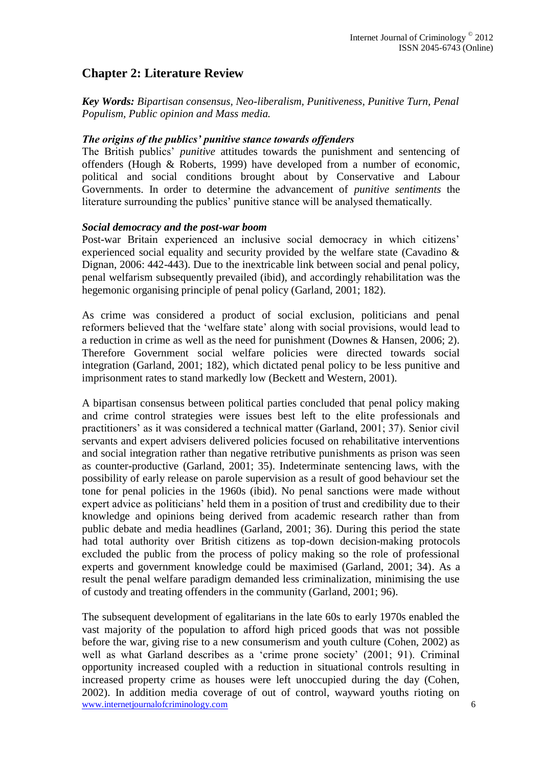# **Chapter 2: Literature Review**

*Key Words: Bipartisan consensus, Neo-liberalism, Punitiveness, Punitive Turn, Penal Populism, Public opinion and Mass media.*

#### *The origins of the publics' punitive stance towards offenders*

The British publics' *punitive* attitudes towards the punishment and sentencing of offenders (Hough & Roberts, 1999) have developed from a number of economic, political and social conditions brought about by Conservative and Labour Governments. In order to determine the advancement of *punitive sentiments* the literature surrounding the publics' punitive stance will be analysed thematically.

#### *Social democracy and the post-war boom*

Post-war Britain experienced an inclusive social democracy in which citizens' experienced social equality and security provided by the welfare state (Cavadino & Dignan, 2006: 442-443). Due to the inextricable link between social and penal policy, penal welfarism subsequently prevailed (ibid), and accordingly rehabilitation was the hegemonic organising principle of penal policy (Garland, 2001; 182).

As crime was considered a product of social exclusion, politicians and penal reformers believed that the 'welfare state' along with social provisions, would lead to a reduction in crime as well as the need for punishment (Downes & Hansen, 2006; 2). Therefore Government social welfare policies were directed towards social integration (Garland, 2001; 182), which dictated penal policy to be less punitive and imprisonment rates to stand markedly low (Beckett and Western, 2001).

A bipartisan consensus between political parties concluded that penal policy making and crime control strategies were issues best left to the elite professionals and practitioners' as it was considered a technical matter (Garland, 2001; 37). Senior civil servants and expert advisers delivered policies focused on rehabilitative interventions and social integration rather than negative retributive punishments as prison was seen as counter-productive (Garland, 2001; 35). Indeterminate sentencing laws, with the possibility of early release on parole supervision as a result of good behaviour set the tone for penal policies in the 1960s (ibid). No penal sanctions were made without expert advice as politicians' held them in a position of trust and credibility due to their knowledge and opinions being derived from academic research rather than from public debate and media headlines (Garland, 2001; 36). During this period the state had total authority over British citizens as top-down decision-making protocols excluded the public from the process of policy making so the role of professional experts and government knowledge could be maximised (Garland, 2001; 34). As a result the penal welfare paradigm demanded less criminalization, minimising the use of custody and treating offenders in the community (Garland, 2001; 96).

www.internetjournalofcriminology.com 6 The subsequent development of egalitarians in the late 60s to early 1970s enabled the vast majority of the population to afford high priced goods that was not possible before the war, giving rise to a new consumerism and youth culture (Cohen, 2002) as well as what Garland describes as a 'crime prone society' (2001; 91). Criminal opportunity increased coupled with a reduction in situational controls resulting in increased property crime as houses were left unoccupied during the day (Cohen, 2002). In addition media coverage of out of control, wayward youths rioting on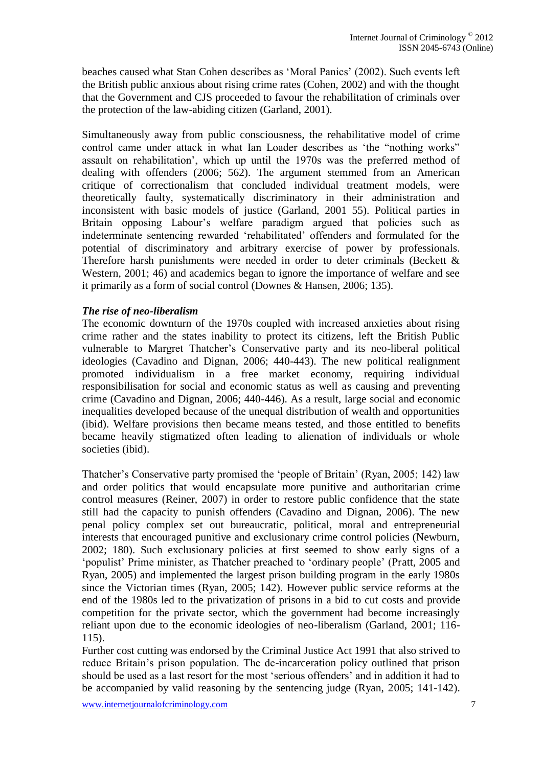beaches caused what Stan Cohen describes as 'Moral Panics' (2002). Such events left the British public anxious about rising crime rates (Cohen, 2002) and with the thought that the Government and CJS proceeded to favour the rehabilitation of criminals over the protection of the law-abiding citizen (Garland, 2001).

Simultaneously away from public consciousness, the rehabilitative model of crime control came under attack in what Ian Loader describes as 'the "nothing works" assault on rehabilitation', which up until the 1970s was the preferred method of dealing with offenders (2006; 562). The argument stemmed from an American critique of correctionalism that concluded individual treatment models, were theoretically faulty, systematically discriminatory in their administration and inconsistent with basic models of justice (Garland, 2001 55). Political parties in Britain opposing Labour's welfare paradigm argued that policies such as indeterminate sentencing rewarded 'rehabilitated' offenders and formulated for the potential of discriminatory and arbitrary exercise of power by professionals. Therefore harsh punishments were needed in order to deter criminals (Beckett & Western, 2001; 46) and academics began to ignore the importance of welfare and see it primarily as a form of social control (Downes & Hansen, 2006; 135).

#### *The rise of neo-liberalism*

The economic downturn of the 1970s coupled with increased anxieties about rising crime rather and the states inability to protect its citizens, left the British Public vulnerable to Margret Thatcher's Conservative party and its neo-liberal political ideologies (Cavadino and Dignan, 2006; 440-443). The new political realignment promoted individualism in a free market economy, requiring individual responsibilisation for social and economic status as well as causing and preventing crime (Cavadino and Dignan, 2006; 440-446). As a result, large social and economic inequalities developed because of the unequal distribution of wealth and opportunities (ibid). Welfare provisions then became means tested, and those entitled to benefits became heavily stigmatized often leading to alienation of individuals or whole societies (ibid).

Thatcher's Conservative party promised the 'people of Britain' (Ryan, 2005; 142) law and order politics that would encapsulate more punitive and authoritarian crime control measures (Reiner, 2007) in order to restore public confidence that the state still had the capacity to punish offenders (Cavadino and Dignan, 2006). The new penal policy complex set out bureaucratic, political, moral and entrepreneurial interests that encouraged punitive and exclusionary crime control policies (Newburn, 2002; 180). Such exclusionary policies at first seemed to show early signs of a 'populist' Prime minister, as Thatcher preached to 'ordinary people' (Pratt, 2005 and Ryan, 2005) and implemented the largest prison building program in the early 1980s since the Victorian times (Ryan, 2005; 142). However public service reforms at the end of the 1980s led to the privatization of prisons in a bid to cut costs and provide competition for the private sector, which the government had become increasingly reliant upon due to the economic ideologies of neo-liberalism (Garland, 2001; 116- 115).

Further cost cutting was endorsed by the Criminal Justice Act 1991 that also strived to reduce Britain's prison population. The de-incarceration policy outlined that prison should be used as a last resort for the most 'serious offenders' and in addition it had to be accompanied by valid reasoning by the sentencing judge (Ryan, 2005; 141-142).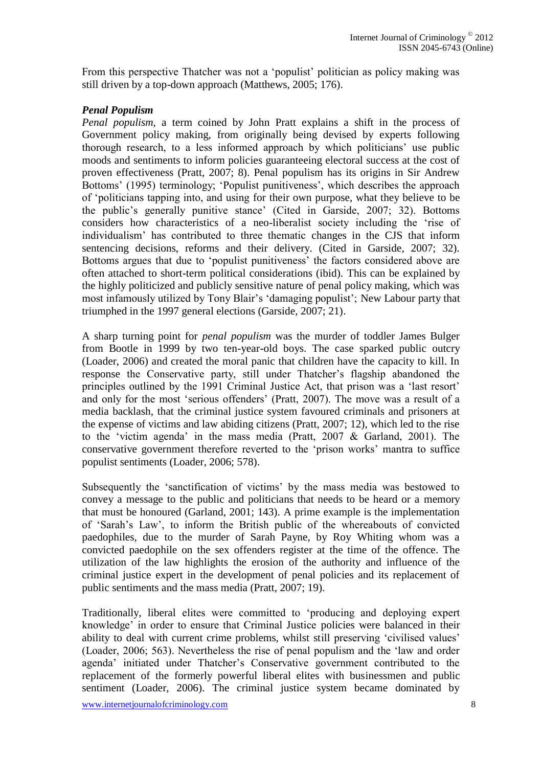From this perspective Thatcher was not a 'populist' politician as policy making was still driven by a top-down approach (Matthews, 2005; 176).

#### *Penal Populism*

*Penal populism,* a term coined by John Pratt explains a shift in the process of Government policy making, from originally being devised by experts following thorough research, to a less informed approach by which politicians' use public moods and sentiments to inform policies guaranteeing electoral success at the cost of proven effectiveness (Pratt, 2007; 8). Penal populism has its origins in Sir Andrew Bottoms' (1995) terminology; 'Populist punitiveness', which describes the approach of 'politicians tapping into, and using for their own purpose, what they believe to be the public's generally punitive stance' (Cited in Garside, 2007; 32). Bottoms considers how characteristics of a neo-liberalist society including the 'rise of individualism' has contributed to three thematic changes in the CJS that inform sentencing decisions, reforms and their delivery. (Cited in Garside, 2007; 32). Bottoms argues that due to 'populist punitiveness' the factors considered above are often attached to short-term political considerations (ibid). This can be explained by the highly politicized and publicly sensitive nature of penal policy making, which was most infamously utilized by Tony Blair's 'damaging populist'; New Labour party that triumphed in the 1997 general elections (Garside, 2007; 21).

A sharp turning point for *penal populism* was the murder of toddler James Bulger from Bootle in 1999 by two ten-year-old boys. The case sparked public outcry (Loader, 2006) and created the moral panic that children have the capacity to kill. In response the Conservative party, still under Thatcher's flagship abandoned the principles outlined by the 1991 Criminal Justice Act, that prison was a 'last resort' and only for the most 'serious offenders' (Pratt, 2007). The move was a result of a media backlash, that the criminal justice system favoured criminals and prisoners at the expense of victims and law abiding citizens (Pratt, 2007; 12), which led to the rise to the 'victim agenda' in the mass media (Pratt, 2007 & Garland, 2001). The conservative government therefore reverted to the 'prison works' mantra to suffice populist sentiments (Loader, 2006; 578).

Subsequently the 'sanctification of victims' by the mass media was bestowed to convey a message to the public and politicians that needs to be heard or a memory that must be honoured (Garland, 2001; 143). A prime example is the implementation of 'Sarah's Law', to inform the British public of the whereabouts of convicted paedophiles, due to the murder of Sarah Payne, by Roy Whiting whom was a convicted paedophile on the sex offenders register at the time of the offence. The utilization of the law highlights the erosion of the authority and influence of the criminal justice expert in the development of penal policies and its replacement of public sentiments and the mass media (Pratt, 2007; 19).

Traditionally, liberal elites were committed to 'producing and deploying expert knowledge' in order to ensure that Criminal Justice policies were balanced in their ability to deal with current crime problems, whilst still preserving 'civilised values' (Loader, 2006; 563). Nevertheless the rise of penal populism and the 'law and order agenda' initiated under Thatcher's Conservative government contributed to the replacement of the formerly powerful liberal elites with businessmen and public sentiment (Loader, 2006). The criminal justice system became dominated by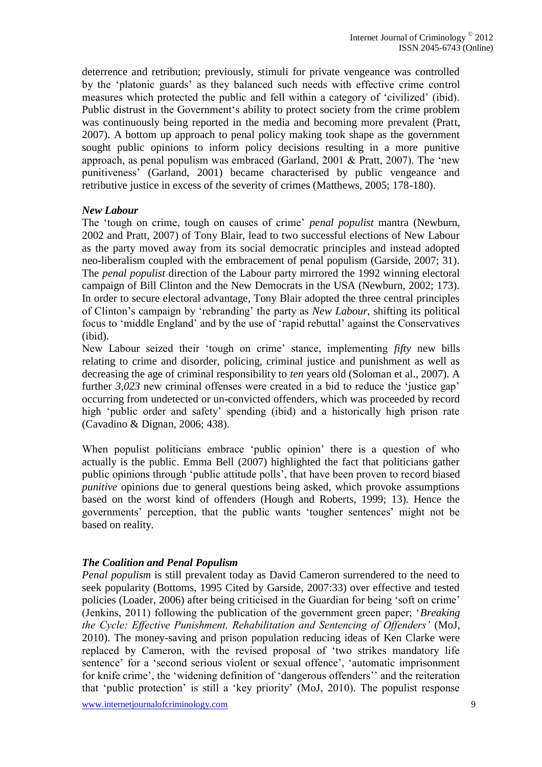deterrence and retribution; previously, stimuli for private vengeance was controlled by the 'platonic guards' as they balanced such needs with effective crime control measures which protected the public and fell within a category of 'civilized' (ibid). Public distrust in the Government's ability to protect society from the crime problem was continuously being reported in the media and becoming more prevalent (Pratt, 2007). A bottom up approach to penal policy making took shape as the government sought public opinions to inform policy decisions resulting in a more punitive approach, as penal populism was embraced (Garland, 2001 & Pratt, 2007). The 'new punitiveness' (Garland, 2001) became characterised by public vengeance and retributive justice in excess of the severity of crimes (Matthews, 2005; 178-180).

#### *New Labour*

The 'tough on crime, tough on causes of crime' *penal populist* mantra (Newburn, 2002 and Pratt, 2007) of Tony Blair, lead to two successful elections of New Labour as the party moved away from its social democratic principles and instead adopted neo-liberalism coupled with the embracement of penal populism (Garside, 2007; 31). The *penal populist* direction of the Labour party mirrored the 1992 winning electoral campaign of Bill Clinton and the New Democrats in the USA (Newburn, 2002; 173). In order to secure electoral advantage, Tony Blair adopted the three central principles of Clinton's campaign by 'rebranding' the party as *New Labour,* shifting its political focus to 'middle England' and by the use of 'rapid rebuttal' against the Conservatives (ibid).

New Labour seized their 'tough on crime' stance, implementing *fifty* new bills relating to crime and disorder, policing, criminal justice and punishment as well as decreasing the age of criminal responsibility to *ten* years old (Soloman et al., 2007). A further *3,023* new criminal offenses were created in a bid to reduce the 'justice gap' occurring from undetected or un-convicted offenders, which was proceeded by record high 'public order and safety' spending (ibid) and a historically high prison rate (Cavadino & Dignan, 2006; 438).

When populist politicians embrace 'public opinion' there is a question of who actually is the public. Emma Bell (2007) highlighted the fact that politicians gather public opinions through 'public attitude polls', that have been proven to record biased *punitive* opinions due to general questions being asked, which provoke assumptions based on the worst kind of offenders (Hough and Roberts, 1999; 13). Hence the governments' perception, that the public wants 'tougher sentences' might not be based on reality.

### *The Coalition and Penal Populism*

*Penal populism* is still prevalent today as David Cameron surrendered to the need to seek popularity (Bottoms, 1995 Cited by Garside, 2007:33) over effective and tested policies (Loader, 2006) after being criticised in the Guardian for being 'soft on crime' (Jenkins, 2011) following the publication of the government green paper; '*Breaking the Cycle: Effective Punishment, Rehabilitation and Sentencing of Offenders'* (MoJ, 2010). The money-saving and prison population reducing ideas of Ken Clarke were replaced by Cameron, with the revised proposal of 'two strikes mandatory life sentence' for a 'second serious violent or sexual offence', 'automatic imprisonment for knife crime', the 'widening definition of 'dangerous offenders'' and the reiteration that 'public protection' is still a 'key priority' (MoJ, 2010). The populist response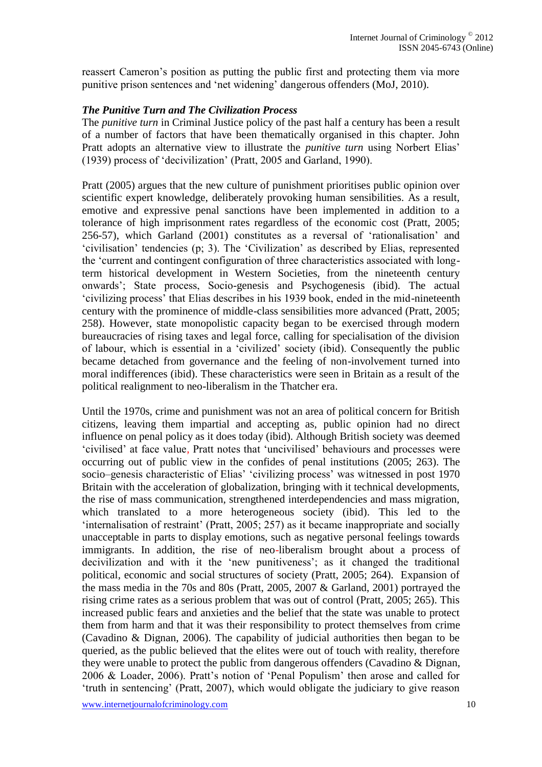reassert Cameron's position as putting the public first and protecting them via more punitive prison sentences and 'net widening' dangerous offenders (MoJ, 2010).

### *The Punitive Turn and The Civilization Process*

The *punitive turn* in Criminal Justice policy of the past half a century has been a result of a number of factors that have been thematically organised in this chapter. John Pratt adopts an alternative view to illustrate the *punitive turn* using Norbert Elias' (1939) process of 'decivilization' (Pratt, 2005 and Garland, 1990).

Pratt (2005) argues that the new culture of punishment prioritises public opinion over scientific expert knowledge, deliberately provoking human sensibilities. As a result, emotive and expressive penal sanctions have been implemented in addition to a tolerance of high imprisonment rates regardless of the economic cost (Pratt, 2005; 256-57), which Garland (2001) constitutes as a reversal of 'rationalisation' and 'civilisation' tendencies (p; 3). The 'Civilization' as described by Elias, represented the 'current and contingent configuration of three characteristics associated with longterm historical development in Western Societies, from the nineteenth century onwards'; State process, Socio-genesis and Psychogenesis (ibid). The actual 'civilizing process' that Elias describes in his 1939 book, ended in the mid-nineteenth century with the prominence of middle-class sensibilities more advanced (Pratt, 2005; 258). However, state monopolistic capacity began to be exercised through modern bureaucracies of rising taxes and legal force, calling for specialisation of the division of labour, which is essential in a 'civilized' society (ibid). Consequently the public became detached from governance and the feeling of non-involvement turned into moral indifferences (ibid). These characteristics were seen in Britain as a result of the political realignment to neo-liberalism in the Thatcher era.

Until the 1970s, crime and punishment was not an area of political concern for British citizens, leaving them impartial and accepting as, public opinion had no direct influence on penal policy as it does today (ibid). Although British society was deemed 'civilised' at face value, Pratt notes that 'uncivilised' behaviours and processes were occurring out of public view in the confides of penal institutions (2005; 263). The socio–genesis characteristic of Elias' 'civilizing process' was witnessed in post 1970 Britain with the acceleration of globalization, bringing with it technical developments, the rise of mass communication, strengthened interdependencies and mass migration, which translated to a more heterogeneous society (ibid). This led to the 'internalisation of restraint' (Pratt, 2005; 257) as it became inappropriate and socially unacceptable in parts to display emotions, such as negative personal feelings towards immigrants. In addition, the rise of neo-liberalism brought about a process of decivilization and with it the 'new punitiveness'; as it changed the traditional political, economic and social structures of society (Pratt, 2005; 264). Expansion of the mass media in the 70s and 80s (Pratt, 2005, 2007 & Garland, 2001) portrayed the rising crime rates as a serious problem that was out of control (Pratt, 2005; 265). This increased public fears and anxieties and the belief that the state was unable to protect them from harm and that it was their responsibility to protect themselves from crime (Cavadino & Dignan, 2006). The capability of judicial authorities then began to be queried, as the public believed that the elites were out of touch with reality, therefore they were unable to protect the public from dangerous offenders (Cavadino & Dignan, 2006 & Loader, 2006). Pratt's notion of 'Penal Populism' then arose and called for 'truth in sentencing' (Pratt, 2007), which would obligate the judiciary to give reason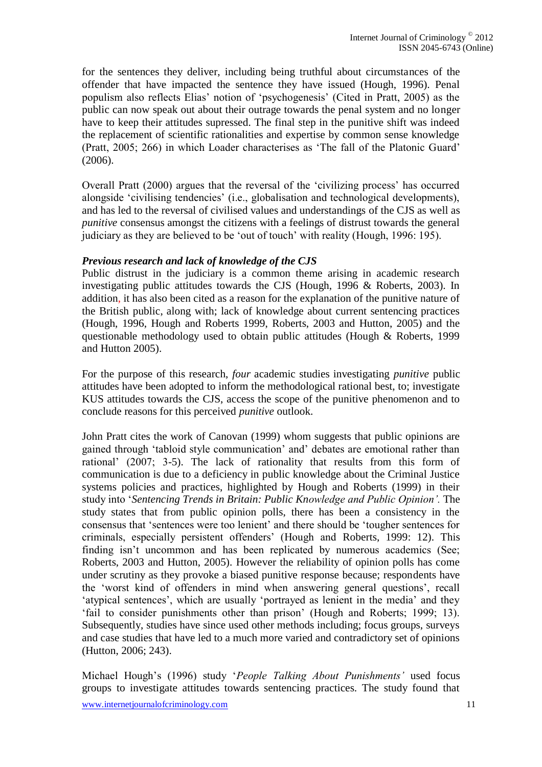for the sentences they deliver, including being truthful about circumstances of the offender that have impacted the sentence they have issued (Hough, 1996). Penal populism also reflects Elias' notion of 'psychogenesis' (Cited in Pratt, 2005) as the public can now speak out about their outrage towards the penal system and no longer have to keep their attitudes supressed. The final step in the punitive shift was indeed the replacement of scientific rationalities and expertise by common sense knowledge (Pratt, 2005; 266) in which Loader characterises as 'The fall of the Platonic Guard' (2006).

Overall Pratt (2000) argues that the reversal of the 'civilizing process' has occurred alongside 'civilising tendencies' (i.e., globalisation and technological developments), and has led to the reversal of civilised values and understandings of the CJS as well as *punitive* consensus amongst the citizens with a feelings of distrust towards the general judiciary as they are believed to be 'out of touch' with reality (Hough, 1996: 195).

#### *Previous research and lack of knowledge of the CJS*

Public distrust in the judiciary is a common theme arising in academic research investigating public attitudes towards the CJS (Hough, 1996 & Roberts, 2003). In addition, it has also been cited as a reason for the explanation of the punitive nature of the British public, along with; lack of knowledge about current sentencing practices (Hough, 1996, Hough and Roberts 1999, Roberts, 2003 and Hutton, 2005) and the questionable methodology used to obtain public attitudes (Hough & Roberts, 1999 and Hutton 2005).

For the purpose of this research, *four* academic studies investigating *punitive* public attitudes have been adopted to inform the methodological rational best, to; investigate KUS attitudes towards the CJS, access the scope of the punitive phenomenon and to conclude reasons for this perceived *punitive* outlook.

John Pratt cites the work of Canovan (1999) whom suggests that public opinions are gained through 'tabloid style communication' and' debates are emotional rather than rational' (2007; 3-5). The lack of rationality that results from this form of communication is due to a deficiency in public knowledge about the Criminal Justice systems policies and practices, highlighted by Hough and Roberts (1999) in their study into '*Sentencing Trends in Britain: Public Knowledge and Public Opinion'.* The study states that from public opinion polls, there has been a consistency in the consensus that 'sentences were too lenient' and there should be 'tougher sentences for criminals, especially persistent offenders' (Hough and Roberts, 1999: 12). This finding isn't uncommon and has been replicated by numerous academics (See; Roberts, 2003 and Hutton, 2005). However the reliability of opinion polls has come under scrutiny as they provoke a biased punitive response because; respondents have the 'worst kind of offenders in mind when answering general questions', recall 'atypical sentences', which are usually 'portrayed as lenient in the media' and they 'fail to consider punishments other than prison' (Hough and Roberts; 1999; 13). Subsequently, studies have since used other methods including; focus groups, surveys and case studies that have led to a much more varied and contradictory set of opinions (Hutton, 2006; 243).

Michael Hough's (1996) study '*People Talking About Punishments'* used focus groups to investigate attitudes towards sentencing practices. The study found that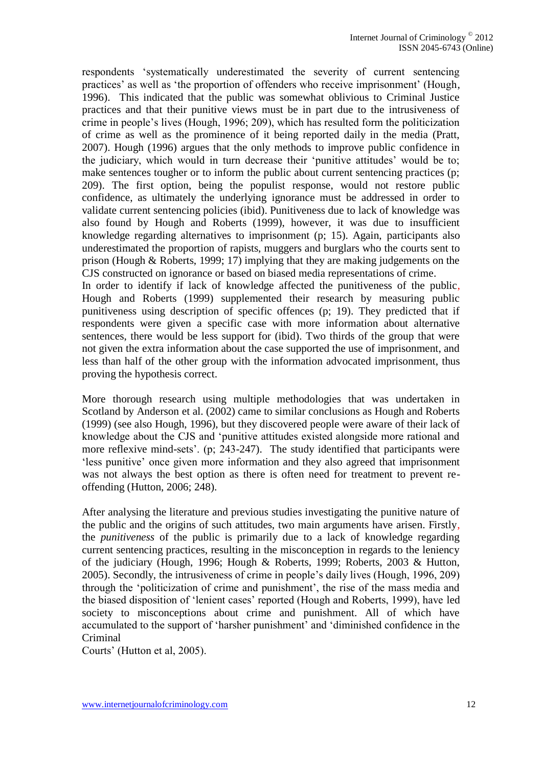respondents 'systematically underestimated the severity of current sentencing practices' as well as 'the proportion of offenders who receive imprisonment' (Hough, 1996). This indicated that the public was somewhat oblivious to Criminal Justice practices and that their punitive views must be in part due to the intrusiveness of crime in people's lives (Hough, 1996; 209), which has resulted form the politicization of crime as well as the prominence of it being reported daily in the media (Pratt, 2007). Hough (1996) argues that the only methods to improve public confidence in the judiciary, which would in turn decrease their 'punitive attitudes' would be to; make sentences tougher or to inform the public about current sentencing practices (p; 209). The first option, being the populist response, would not restore public confidence, as ultimately the underlying ignorance must be addressed in order to validate current sentencing policies (ibid). Punitiveness due to lack of knowledge was also found by Hough and Roberts (1999), however, it was due to insufficient knowledge regarding alternatives to imprisonment (p; 15). Again, participants also underestimated the proportion of rapists, muggers and burglars who the courts sent to prison (Hough & Roberts, 1999; 17) implying that they are making judgements on the CJS constructed on ignorance or based on biased media representations of crime.

In order to identify if lack of knowledge affected the punitiveness of the public, Hough and Roberts (1999) supplemented their research by measuring public punitiveness using description of specific offences (p; 19). They predicted that if respondents were given a specific case with more information about alternative sentences, there would be less support for (ibid). Two thirds of the group that were not given the extra information about the case supported the use of imprisonment, and less than half of the other group with the information advocated imprisonment, thus proving the hypothesis correct.

More thorough research using multiple methodologies that was undertaken in Scotland by Anderson et al. (2002) came to similar conclusions as Hough and Roberts (1999) (see also Hough, 1996), but they discovered people were aware of their lack of knowledge about the CJS and 'punitive attitudes existed alongside more rational and more reflexive mind-sets'. (p; 243-247). The study identified that participants were 'less punitive' once given more information and they also agreed that imprisonment was not always the best option as there is often need for treatment to prevent reoffending (Hutton, 2006; 248).

After analysing the literature and previous studies investigating the punitive nature of the public and the origins of such attitudes, two main arguments have arisen. Firstly, the *punitiveness* of the public is primarily due to a lack of knowledge regarding current sentencing practices, resulting in the misconception in regards to the leniency of the judiciary (Hough, 1996; Hough & Roberts, 1999; Roberts, 2003 & Hutton, 2005). Secondly, the intrusiveness of crime in people's daily lives (Hough, 1996, 209) through the 'politicization of crime and punishment', the rise of the mass media and the biased disposition of 'lenient cases' reported (Hough and Roberts, 1999), have led society to misconceptions about crime and punishment. All of which have accumulated to the support of 'harsher punishment' and 'diminished confidence in the Criminal

Courts' (Hutton et al, 2005).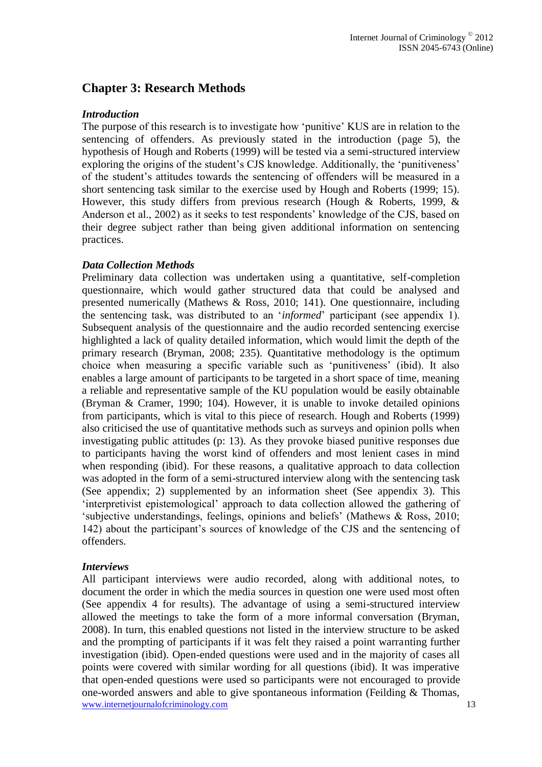# **Chapter 3: Research Methods**

#### *Introduction*

The purpose of this research is to investigate how 'punitive' KUS are in relation to the sentencing of offenders. As previously stated in the introduction (page 5), the hypothesis of Hough and Roberts (1999) will be tested via a semi-structured interview exploring the origins of the student's CJS knowledge. Additionally, the 'punitiveness' of the student's attitudes towards the sentencing of offenders will be measured in a short sentencing task similar to the exercise used by Hough and Roberts (1999; 15). However, this study differs from previous research (Hough & Roberts, 1999, & Anderson et al., 2002) as it seeks to test respondents' knowledge of the CJS, based on their degree subject rather than being given additional information on sentencing practices.

### *Data Collection Methods*

Preliminary data collection was undertaken using a quantitative, self-completion questionnaire, which would gather structured data that could be analysed and presented numerically (Mathews & Ross, 2010; 141). One questionnaire, including the sentencing task, was distributed to an '*informed*' participant (see appendix 1). Subsequent analysis of the questionnaire and the audio recorded sentencing exercise highlighted a lack of quality detailed information, which would limit the depth of the primary research (Bryman, 2008; 235). Quantitative methodology is the optimum choice when measuring a specific variable such as 'punitiveness' (ibid). It also enables a large amount of participants to be targeted in a short space of time, meaning a reliable and representative sample of the KU population would be easily obtainable (Bryman & Cramer, 1990; 104). However, it is unable to invoke detailed opinions from participants, which is vital to this piece of research. Hough and Roberts (1999) also criticised the use of quantitative methods such as surveys and opinion polls when investigating public attitudes (p: 13). As they provoke biased punitive responses due to participants having the worst kind of offenders and most lenient cases in mind when responding (ibid). For these reasons, a qualitative approach to data collection was adopted in the form of a semi-structured interview along with the sentencing task (See appendix; 2) supplemented by an information sheet (See appendix 3). This 'interpretivist epistemological' approach to data collection allowed the gathering of 'subjective understandings, feelings, opinions and beliefs' (Mathews & Ross, 2010; 142) about the participant's sources of knowledge of the CJS and the sentencing of offenders.

#### *Interviews*

www.internetjournalofcriminology.com 13 All participant interviews were audio recorded, along with additional notes, to document the order in which the media sources in question one were used most often (See appendix 4 for results). The advantage of using a semi-structured interview allowed the meetings to take the form of a more informal conversation (Bryman, 2008). In turn, this enabled questions not listed in the interview structure to be asked and the prompting of participants if it was felt they raised a point warranting further investigation (ibid). Open-ended questions were used and in the majority of cases all points were covered with similar wording for all questions (ibid). It was imperative that open-ended questions were used so participants were not encouraged to provide one-worded answers and able to give spontaneous information (Feilding & Thomas,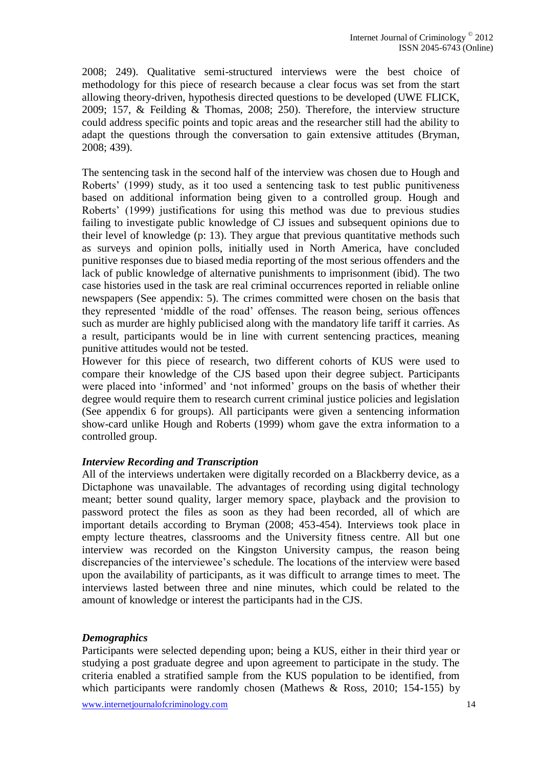2008; 249). Qualitative semi-structured interviews were the best choice of methodology for this piece of research because a clear focus was set from the start allowing theory-driven, hypothesis directed questions to be developed (UWE FLICK, 2009; 157, & Feilding & Thomas, 2008; 250). Therefore, the interview structure could address specific points and topic areas and the researcher still had the ability to adapt the questions through the conversation to gain extensive attitudes (Bryman, 2008; 439).

The sentencing task in the second half of the interview was chosen due to Hough and Roberts' (1999) study, as it too used a sentencing task to test public punitiveness based on additional information being given to a controlled group. Hough and Roberts' (1999) justifications for using this method was due to previous studies failing to investigate public knowledge of CJ issues and subsequent opinions due to their level of knowledge (p: 13). They argue that previous quantitative methods such as surveys and opinion polls, initially used in North America, have concluded punitive responses due to biased media reporting of the most serious offenders and the lack of public knowledge of alternative punishments to imprisonment (ibid). The two case histories used in the task are real criminal occurrences reported in reliable online newspapers (See appendix: 5). The crimes committed were chosen on the basis that they represented 'middle of the road' offenses. The reason being, serious offences such as murder are highly publicised along with the mandatory life tariff it carries. As a result, participants would be in line with current sentencing practices, meaning punitive attitudes would not be tested.

However for this piece of research, two different cohorts of KUS were used to compare their knowledge of the CJS based upon their degree subject. Participants were placed into 'informed' and 'not informed' groups on the basis of whether their degree would require them to research current criminal justice policies and legislation (See appendix 6 for groups). All participants were given a sentencing information show-card unlike Hough and Roberts (1999) whom gave the extra information to a controlled group.

#### *Interview Recording and Transcription*

All of the interviews undertaken were digitally recorded on a Blackberry device, as a Dictaphone was unavailable. The advantages of recording using digital technology meant; better sound quality, larger memory space, playback and the provision to password protect the files as soon as they had been recorded, all of which are important details according to Bryman (2008; 453-454). Interviews took place in empty lecture theatres, classrooms and the University fitness centre. All but one interview was recorded on the Kingston University campus, the reason being discrepancies of the interviewee's schedule. The locations of the interview were based upon the availability of participants, as it was difficult to arrange times to meet. The interviews lasted between three and nine minutes, which could be related to the amount of knowledge or interest the participants had in the CJS.

#### *Demographics*

Participants were selected depending upon; being a KUS, either in their third year or studying a post graduate degree and upon agreement to participate in the study. The criteria enabled a stratified sample from the KUS population to be identified, from which participants were randomly chosen (Mathews & Ross, 2010; 154-155) by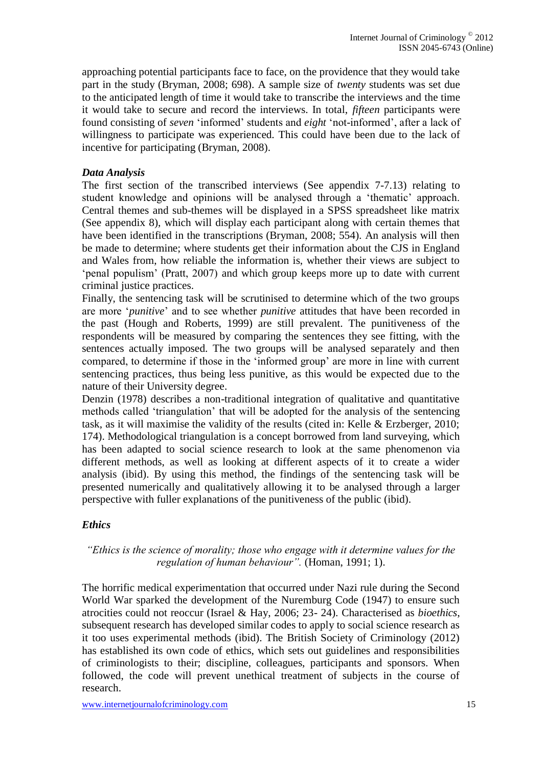approaching potential participants face to face, on the providence that they would take part in the study (Bryman, 2008; 698). A sample size of *twenty* students was set due to the anticipated length of time it would take to transcribe the interviews and the time it would take to secure and record the interviews. In total, *fifteen* participants were found consisting of *seven* 'informed' students and *eight* 'not-informed', after a lack of willingness to participate was experienced. This could have been due to the lack of incentive for participating (Bryman, 2008).

# *Data Analysis*

The first section of the transcribed interviews (See appendix 7-7.13) relating to student knowledge and opinions will be analysed through a 'thematic' approach. Central themes and sub-themes will be displayed in a SPSS spreadsheet like matrix (See appendix 8), which will display each participant along with certain themes that have been identified in the transcriptions (Bryman, 2008; 554). An analysis will then be made to determine; where students get their information about the CJS in England and Wales from, how reliable the information is, whether their views are subject to 'penal populism' (Pratt, 2007) and which group keeps more up to date with current criminal justice practices.

Finally, the sentencing task will be scrutinised to determine which of the two groups are more '*punitive*' and to see whether *punitive* attitudes that have been recorded in the past (Hough and Roberts, 1999) are still prevalent. The punitiveness of the respondents will be measured by comparing the sentences they see fitting, with the sentences actually imposed. The two groups will be analysed separately and then compared, to determine if those in the 'informed group' are more in line with current sentencing practices, thus being less punitive, as this would be expected due to the nature of their University degree.

Denzin (1978) describes a non-traditional integration of qualitative and quantitative methods called 'triangulation' that will be adopted for the analysis of the sentencing task, as it will maximise the validity of the results (cited in: Kelle & Erzberger, 2010; 174). Methodological triangulation is a concept borrowed from land surveying, which has been adapted to social science research to look at the same phenomenon via different methods, as well as looking at different aspects of it to create a wider analysis (ibid). By using this method, the findings of the sentencing task will be presented numerically and qualitatively allowing it to be analysed through a larger perspective with fuller explanations of the punitiveness of the public (ibid).

### *Ethics*

### *"Ethics is the science of morality; those who engage with it determine values for the regulation of human behaviour".* (Homan, 1991; 1).

The horrific medical experimentation that occurred under Nazi rule during the Second World War sparked the development of the Nuremburg Code (1947) to ensure such atrocities could not reoccur (Israel & Hay, 2006; 23- 24). Characterised as *bioethics*, subsequent research has developed similar codes to apply to social science research as it too uses experimental methods (ibid). The British Society of Criminology (2012) has established its own code of ethics, which sets out guidelines and responsibilities of criminologists to their; discipline, colleagues, participants and sponsors. When followed, the code will prevent unethical treatment of subjects in the course of research.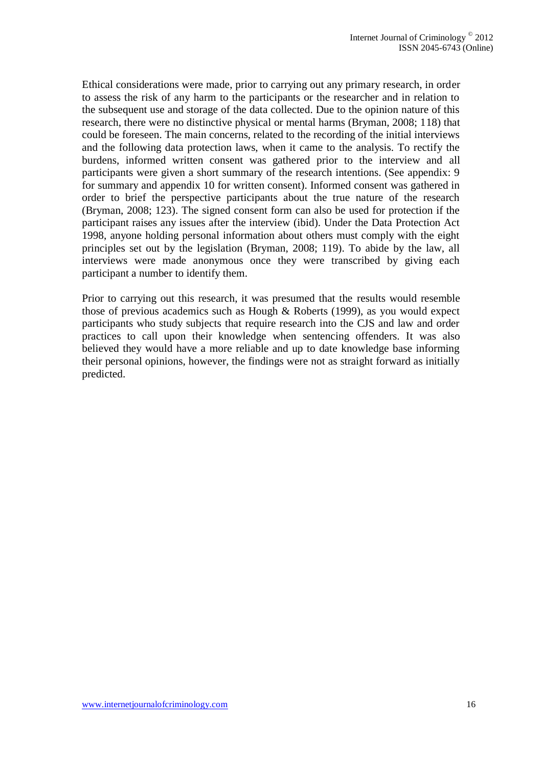Ethical considerations were made, prior to carrying out any primary research, in order to assess the risk of any harm to the participants or the researcher and in relation to the subsequent use and storage of the data collected. Due to the opinion nature of this research, there were no distinctive physical or mental harms (Bryman, 2008; 118) that could be foreseen. The main concerns, related to the recording of the initial interviews and the following data protection laws, when it came to the analysis. To rectify the burdens, informed written consent was gathered prior to the interview and all participants were given a short summary of the research intentions. (See appendix: 9 for summary and appendix 10 for written consent). Informed consent was gathered in order to brief the perspective participants about the true nature of the research (Bryman, 2008; 123). The signed consent form can also be used for protection if the participant raises any issues after the interview (ibid). Under the Data Protection Act 1998, anyone holding personal information about others must comply with the eight principles set out by the legislation (Bryman, 2008; 119). To abide by the law, all interviews were made anonymous once they were transcribed by giving each participant a number to identify them.

Prior to carrying out this research, it was presumed that the results would resemble those of previous academics such as Hough & Roberts (1999), as you would expect participants who study subjects that require research into the CJS and law and order practices to call upon their knowledge when sentencing offenders. It was also believed they would have a more reliable and up to date knowledge base informing their personal opinions, however, the findings were not as straight forward as initially predicted.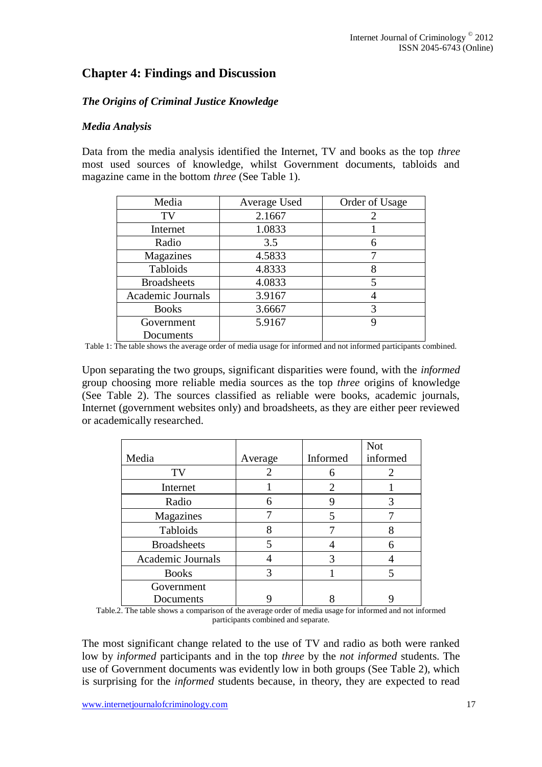# **Chapter 4: Findings and Discussion**

# *The Origins of Criminal Justice Knowledge*

#### *Media Analysis*

Data from the media analysis identified the Internet, TV and books as the top *three*  most used sources of knowledge, whilst Government documents, tabloids and magazine came in the bottom *three* (See Table 1).

| Media              | Average Used | Order of Usage |
|--------------------|--------------|----------------|
| TV                 | 2.1667       | 2              |
| Internet           | 1.0833       |                |
| Radio              | 3.5          | 6              |
| Magazines          | 4.5833       |                |
| Tabloids           | 4.8333       | 8              |
| <b>Broadsheets</b> | 4.0833       | 5              |
| Academic Journals  | 3.9167       |                |
| <b>Books</b>       | 3.6667       | 3              |
| Government         | 5.9167       | 9              |
| Documents          |              |                |

Table 1: The table shows the average order of media usage for informed and not informed participants combined.

Upon separating the two groups, significant disparities were found, with the *informed*  group choosing more reliable media sources as the top *three* origins of knowledge (See Table 2). The sources classified as reliable were books, academic journals, Internet (government websites only) and broadsheets, as they are either peer reviewed or academically researched.

|                    |         |          | <b>Not</b> |
|--------------------|---------|----------|------------|
| Media              | Average | Informed | informed   |
| TV                 | 2       | 6        | 2          |
| Internet           |         | 2        |            |
| Radio              | 6       | y        | 3          |
| Magazines          |         | 5        |            |
| Tabloids           |         |          |            |
| <b>Broadsheets</b> | 5       |          | 6          |
| Academic Journals  |         |          |            |
| <b>Books</b>       |         |          |            |
| Government         |         |          |            |
| Documents          |         |          |            |

Table.2. The table shows a comparison of the average order of media usage for informed and not informed participants combined and separate.

The most significant change related to the use of TV and radio as both were ranked low by *informed* participants and in the top *three* by the *not informed* students. The use of Government documents was evidently low in both groups (See Table 2), which is surprising for the *informed* students because, in theory, they are expected to read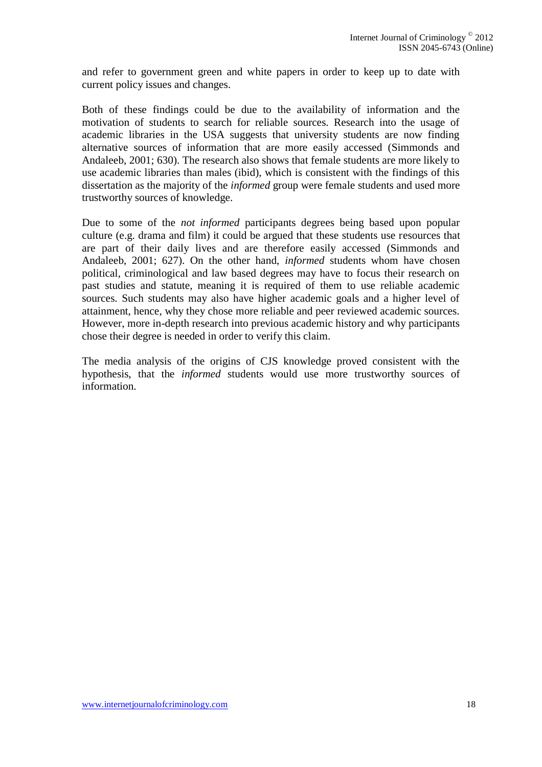and refer to government green and white papers in order to keep up to date with current policy issues and changes.

Both of these findings could be due to the availability of information and the motivation of students to search for reliable sources. Research into the usage of academic libraries in the USA suggests that university students are now finding alternative sources of information that are more easily accessed (Simmonds and Andaleeb, 2001; 630). The research also shows that female students are more likely to use academic libraries than males (ibid), which is consistent with the findings of this dissertation as the majority of the *informed* group were female students and used more trustworthy sources of knowledge.

Due to some of the *not informed* participants degrees being based upon popular culture (e.g. drama and film) it could be argued that these students use resources that are part of their daily lives and are therefore easily accessed (Simmonds and Andaleeb, 2001; 627). On the other hand, *informed* students whom have chosen political, criminological and law based degrees may have to focus their research on past studies and statute, meaning it is required of them to use reliable academic sources. Such students may also have higher academic goals and a higher level of attainment, hence, why they chose more reliable and peer reviewed academic sources. However, more in-depth research into previous academic history and why participants chose their degree is needed in order to verify this claim.

The media analysis of the origins of CJS knowledge proved consistent with the hypothesis, that the *informed* students would use more trustworthy sources of information.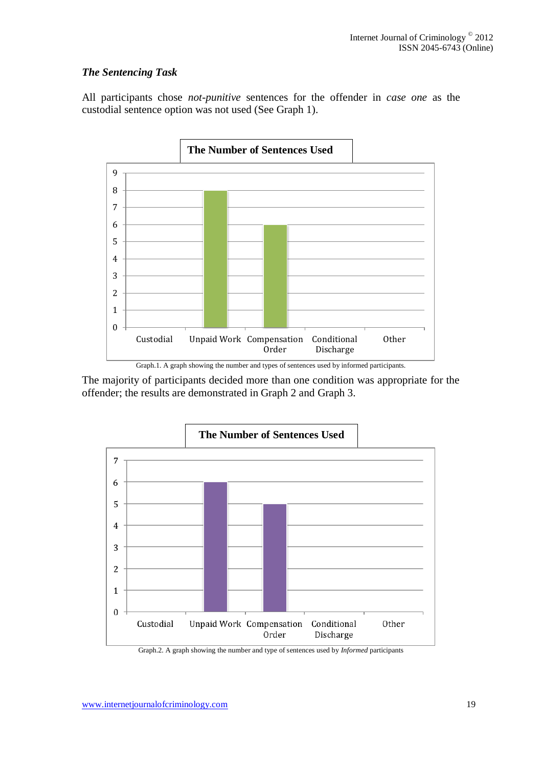# *The Sentencing Task*

All participants chose *not-punitive* sentences for the offender in *case one* as the custodial sentence option was not used (See Graph 1).



The majority of participants decided more than one condition was appropriate for the offender; the results are demonstrated in Graph 2 and Graph 3.



Graph.2. A graph showing the number and type of sentences used by *Informed* participants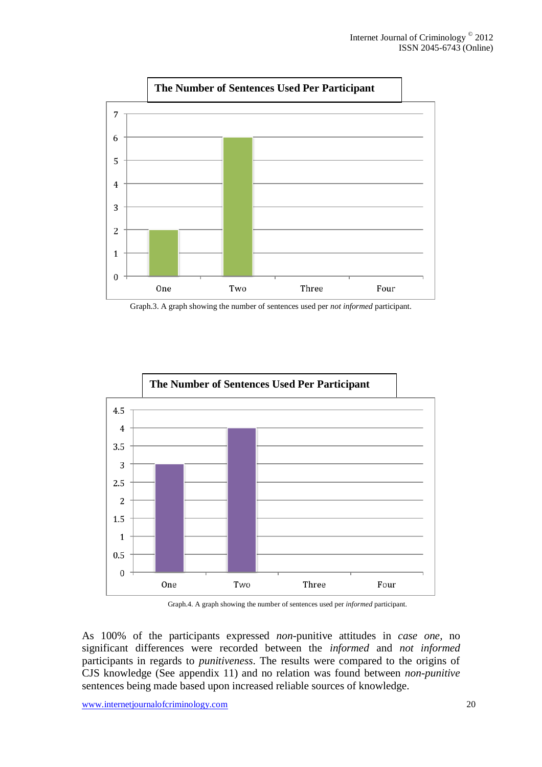

Graph.3. A graph showing the number of sentences used per *not informed* participant.



Graph.4. A graph showing the number of sentences used per *informed* participant.

As 100% of the participants expressed *non-*punitive attitudes in *case one,* no significant differences were recorded between the *informed* and *not informed*  participants in regards to *punitiveness*. The results were compared to the origins of CJS knowledge (See appendix 11) and no relation was found between *non-punitive*  sentences being made based upon increased reliable sources of knowledge.

www.internetjournalofcriminology.com 20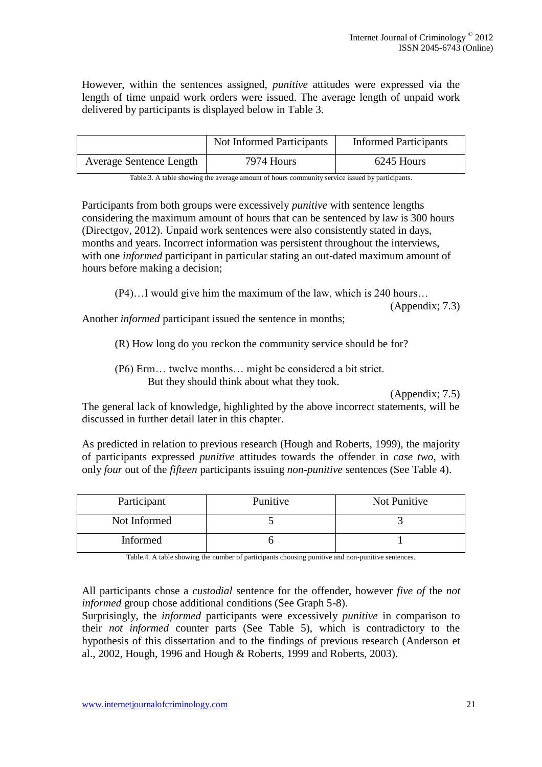However, within the sentences assigned, *punitive* attitudes were expressed via the length of time unpaid work orders were issued. The average length of unpaid work delivered by participants is displayed below in Table 3.

|                                | Not Informed Participants | <b>Informed Participants</b> |
|--------------------------------|---------------------------|------------------------------|
| <b>Average Sentence Length</b> | 7974 Hours                | 6245 Hours                   |

Table.3. A table showing the average amount of hours community service issued by participants.

Participants from both groups were excessively *punitive* with sentence lengths considering the maximum amount of hours that can be sentenced by law is 300 hours (Directgov, 2012). Unpaid work sentences were also consistently stated in days, months and years. Incorrect information was persistent throughout the interviews, with one *informed* participant in particular stating an out-dated maximum amount of hours before making a decision;

(P4)…I would give him the maximum of the law, which is 240 hours…

(Appendix; 7.3)

Another *informed* participant issued the sentence in months;

(R) How long do you reckon the community service should be for?

(P6) Erm… twelve months… might be considered a bit strict. But they should think about what they took.

(Appendix; 7.5)

The general lack of knowledge, highlighted by the above incorrect statements, will be discussed in further detail later in this chapter.

As predicted in relation to previous research (Hough and Roberts, 1999), the majority of participants expressed *punitive* attitudes towards the offender in *case two*, with only *four* out of the *fifteen* participants issuing *non-punitive* sentences (See Table 4).

| Participant  | Punitive | Not Punitive |
|--------------|----------|--------------|
| Not Informed |          |              |
| Informed     |          |              |

Table.4. A table showing the number of participants choosing punitive and non-punitive sentences.

All participants chose a *custodial* sentence for the offender, however *five of* the *not informed* group chose additional conditions (See Graph 5-8).

Surprisingly, the *informed* participants were excessively *punitive* in comparison to their *not informed* counter parts (See Table 5), which is contradictory to the hypothesis of this dissertation and to the findings of previous research (Anderson et al., 2002, Hough, 1996 and Hough & Roberts, 1999 and Roberts, 2003).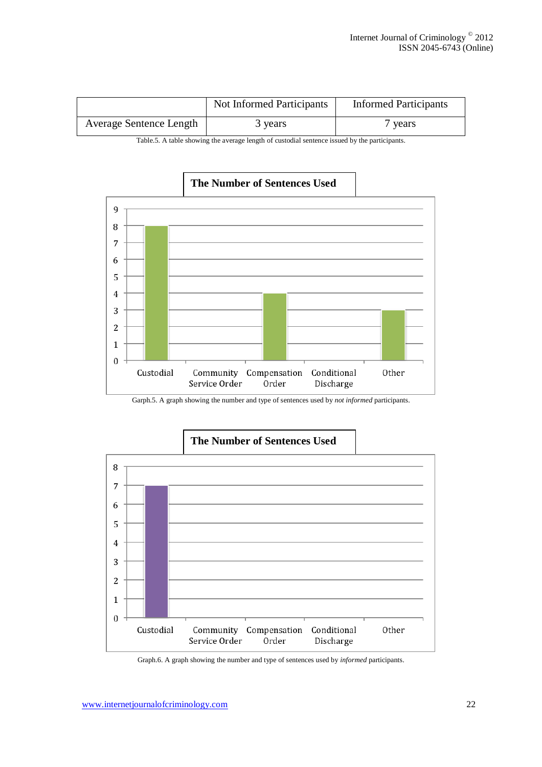|                                | Not Informed Participants | <b>Informed Participants</b> |
|--------------------------------|---------------------------|------------------------------|
| <b>Average Sentence Length</b> | 3 years                   | vears                        |

Table.5. A table showing the average length of custodial sentence issued by the participants.



# **The Number of Sentences Used**

Garph.5. A graph showing the number and type of sentences used by *not informed* participants.



Graph.6. A graph showing the number and type of sentences used by *informed* participants.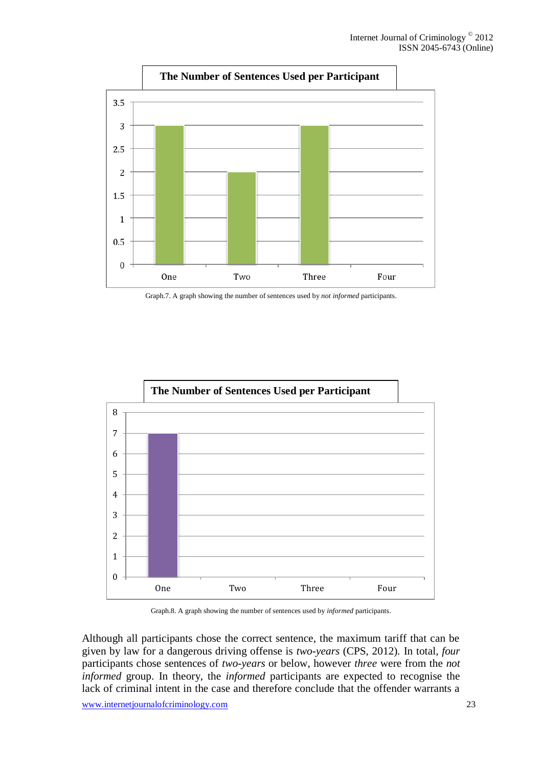

Graph.7. A graph showing the number of sentences used by *not informed* participants.



Graph.8. A graph showing the number of sentences used by *informed* participants.

Although all participants chose the correct sentence, the maximum tariff that can be given by law for a dangerous driving offense is *two-years* (CPS, 2012)*.* In total, *four* participants chose sentences of *two-years* or below, however *three* were from the *not informed* group. In theory, the *informed* participants are expected to recognise the lack of criminal intent in the case and therefore conclude that the offender warrants a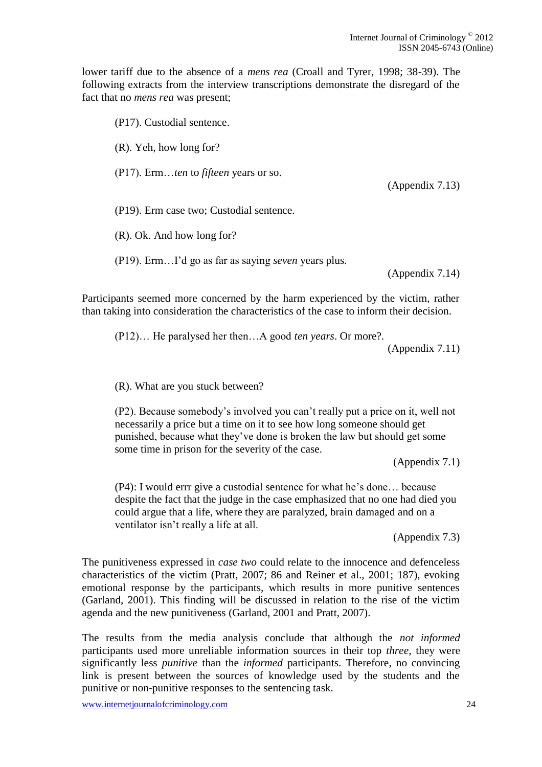lower tariff due to the absence of a *mens rea* (Croall and Tyrer, 1998; 38-39). The following extracts from the interview transcriptions demonstrate the disregard of the fact that no *mens rea* was present;

(P17). Custodial sentence. (R). Yeh, how long for? (P17). Erm…*ten* to *fifteen* years or so. (Appendix 7.13) (P19). Erm case two; Custodial sentence. (R). Ok. And how long for? (P19). Erm…I'd go as far as saying *seven* years plus. (Appendix 7.14)

Participants seemed more concerned by the harm experienced by the victim, rather than taking into consideration the characteristics of the case to inform their decision.

(P12)… He paralysed her then…A good *ten years*. Or more?.

(Appendix 7.11)

(R). What are you stuck between?

(P2). Because somebody's involved you can't really put a price on it, well not necessarily a price but a time on it to see how long someone should get punished, because what they've done is broken the law but should get some some time in prison for the severity of the case.

(Appendix 7.1)

(P4): I would errr give a custodial sentence for what he's done… because despite the fact that the judge in the case emphasized that no one had died you could argue that a life, where they are paralyzed, brain damaged and on a ventilator isn't really a life at all.

(Appendix 7.3)

The punitiveness expressed in *case two* could relate to the innocence and defenceless characteristics of the victim (Pratt, 2007; 86 and Reiner et al., 2001; 187), evoking emotional response by the participants, which results in more punitive sentences (Garland, 2001). This finding will be discussed in relation to the rise of the victim agenda and the new punitiveness (Garland, 2001 and Pratt, 2007).

The results from the media analysis conclude that although the *not informed* participants used more unreliable information sources in their top *three*, they were significantly less *punitive* than the *informed* participants. Therefore, no convincing link is present between the sources of knowledge used by the students and the punitive or non-punitive responses to the sentencing task.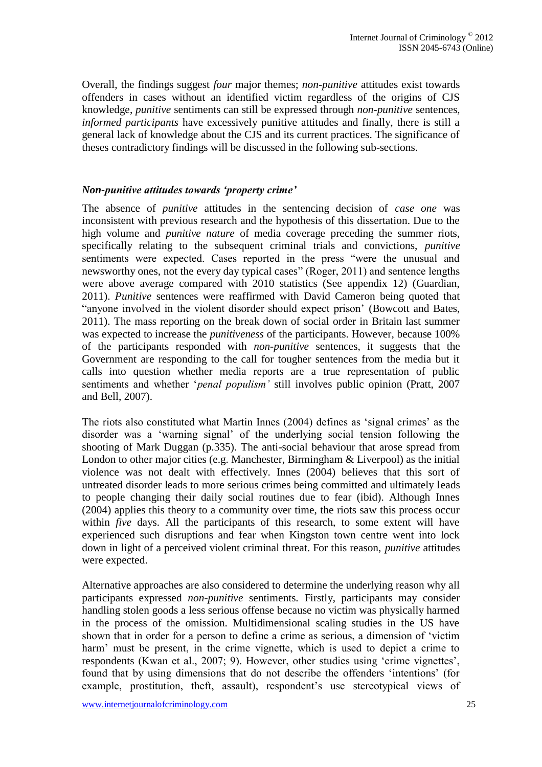Overall, the findings suggest *four* major themes; *non-punitive* attitudes exist towards offenders in cases without an identified victim regardless of the origins of CJS knowledge, *punitive* sentiments can still be expressed through *non-punitive* sentences, *informed participants* have excessively punitive attitudes and finally, there is still a general lack of knowledge about the CJS and its current practices. The significance of theses contradictory findings will be discussed in the following sub-sections.

#### *Non-punitive attitudes towards 'property crime'*

The absence of *punitive* attitudes in the sentencing decision of *case one* was inconsistent with previous research and the hypothesis of this dissertation. Due to the high volume and *punitive nature* of media coverage preceding the summer riots, specifically relating to the subsequent criminal trials and convictions, *punitive* sentiments were expected. Cases reported in the press "were the unusual and newsworthy ones, not the every day typical cases" (Roger, 2011) and sentence lengths were above average compared with 2010 statistics (See appendix 12) (Guardian, 2011). *Punitive* sentences were reaffirmed with David Cameron being quoted that "anyone involved in the violent disorder should expect prison' (Bowcott and Bates, 2011). The mass reporting on the break down of social order in Britain last summer was expected to increase the *punitiveness* of the participants. However, because 100% of the participants responded with *non-punitive* sentences, it suggests that the Government are responding to the call for tougher sentences from the media but it calls into question whether media reports are a true representation of public sentiments and whether '*penal populism'* still involves public opinion (Pratt, 2007 and Bell, 2007).

The riots also constituted what Martin Innes (2004) defines as 'signal crimes' as the disorder was a 'warning signal' of the underlying social tension following the shooting of Mark Duggan (p.335). The anti-social behaviour that arose spread from London to other major cities (e.g. Manchester, Birmingham & Liverpool) as the initial violence was not dealt with effectively. Innes (2004) believes that this sort of untreated disorder leads to more serious crimes being committed and ultimately leads to people changing their daily social routines due to fear (ibid). Although Innes (2004) applies this theory to a community over time, the riots saw this process occur within *five* days. All the participants of this research, to some extent will have experienced such disruptions and fear when Kingston town centre went into lock down in light of a perceived violent criminal threat. For this reason, *punitive* attitudes were expected.

Alternative approaches are also considered to determine the underlying reason why all participants expressed *non-punitive* sentiments*.* Firstly, participants may consider handling stolen goods a less serious offense because no victim was physically harmed in the process of the omission. Multidimensional scaling studies in the US have shown that in order for a person to define a crime as serious, a dimension of 'victim harm' must be present, in the crime vignette, which is used to depict a crime to respondents (Kwan et al., 2007; 9). However, other studies using 'crime vignettes', found that by using dimensions that do not describe the offenders 'intentions' (for example, prostitution, theft, assault), respondent's use stereotypical views of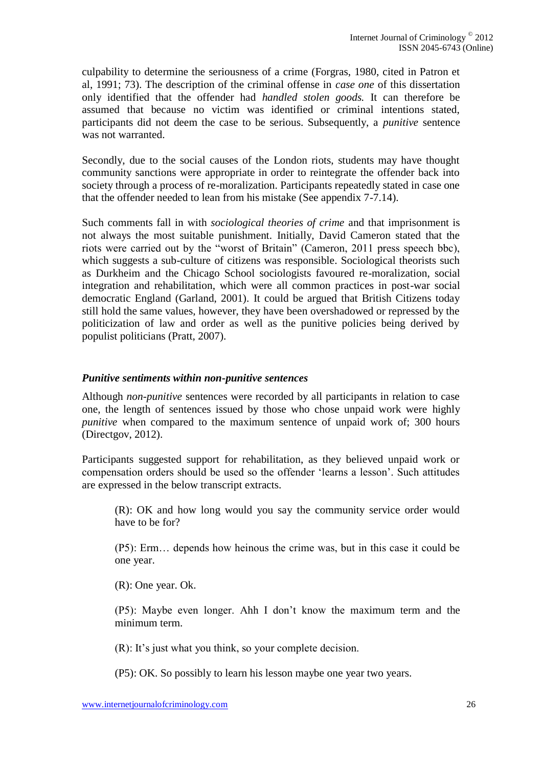culpability to determine the seriousness of a crime (Forgras, 1980, cited in Patron et al, 1991; 73). The description of the criminal offense in *case one* of this dissertation only identified that the offender had *handled stolen goods.* It can therefore be assumed that because no victim was identified or criminal intentions stated, participants did not deem the case to be serious. Subsequently, a *punitive* sentence was not warranted.

Secondly, due to the social causes of the London riots, students may have thought community sanctions were appropriate in order to reintegrate the offender back into society through a process of re-moralization. Participants repeatedly stated in case one that the offender needed to lean from his mistake (See appendix 7-7.14).

Such comments fall in with *sociological theories of crime* and that imprisonment is not always the most suitable punishment*.* Initially, David Cameron stated that the riots were carried out by the "worst of Britain" (Cameron, 2011 press speech bbc), which suggests a sub-culture of citizens was responsible. Sociological theorists such as Durkheim and the Chicago School sociologists favoured re-moralization, social integration and rehabilitation, which were all common practices in post-war social democratic England (Garland, 2001). It could be argued that British Citizens today still hold the same values, however, they have been overshadowed or repressed by the politicization of law and order as well as the punitive policies being derived by populist politicians (Pratt, 2007).

#### *Punitive sentiments within non-punitive sentences*

Although *non-punitive* sentences were recorded by all participants in relation to case one, the length of sentences issued by those who chose unpaid work were highly *punitive* when compared to the maximum sentence of unpaid work of; 300 hours (Directgov, 2012).

Participants suggested support for rehabilitation, as they believed unpaid work or compensation orders should be used so the offender 'learns a lesson'. Such attitudes are expressed in the below transcript extracts.

(R): OK and how long would you say the community service order would have to be for?

(P5): Erm… depends how heinous the crime was, but in this case it could be one year.

(R): One year. Ok.

(P5): Maybe even longer. Ahh I don't know the maximum term and the minimum term.

(R): It's just what you think, so your complete decision.

(P5): OK. So possibly to learn his lesson maybe one year two years.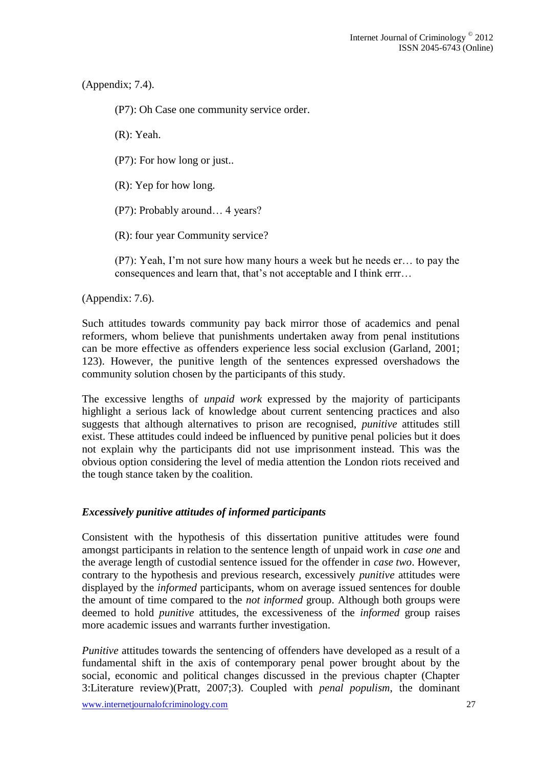(Appendix; 7.4).

(P7): Oh Case one community service order.

(R): Yeah.

(P7): For how long or just..

(R): Yep for how long.

(P7): Probably around… 4 years?

(R): four year Community service?

(P7): Yeah, I'm not sure how many hours a week but he needs er… to pay the consequences and learn that, that's not acceptable and I think errr…

(Appendix: 7.6).

Such attitudes towards community pay back mirror those of academics and penal reformers, whom believe that punishments undertaken away from penal institutions can be more effective as offenders experience less social exclusion (Garland, 2001; 123). However, the punitive length of the sentences expressed overshadows the community solution chosen by the participants of this study.

The excessive lengths of *unpaid work* expressed by the majority of participants highlight a serious lack of knowledge about current sentencing practices and also suggests that although alternatives to prison are recognised, *punitive* attitudes still exist. These attitudes could indeed be influenced by punitive penal policies but it does not explain why the participants did not use imprisonment instead. This was the obvious option considering the level of media attention the London riots received and the tough stance taken by the coalition.

### *Excessively punitive attitudes of informed participants*

Consistent with the hypothesis of this dissertation punitive attitudes were found amongst participants in relation to the sentence length of unpaid work in *case one* and the average length of custodial sentence issued for the offender in *case two*. However, contrary to the hypothesis and previous research, excessively *punitive* attitudes were displayed by the *informed* participants, whom on average issued sentences for double the amount of time compared to the *not informed* group. Although both groups were deemed to hold *punitive* attitudes, the excessiveness of the *informed* group raises more academic issues and warrants further investigation.

*Punitive* attitudes towards the sentencing of offenders have developed as a result of a fundamental shift in the axis of contemporary penal power brought about by the social, economic and political changes discussed in the previous chapter (Chapter 3:Literature review)(Pratt, 2007;3). Coupled with *penal populism*, the dominant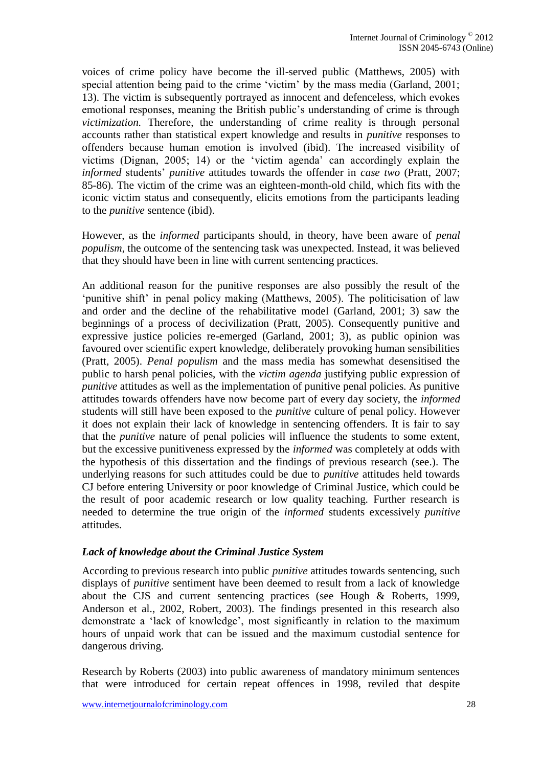voices of crime policy have become the ill-served public (Matthews, 2005) with special attention being paid to the crime 'victim' by the mass media (Garland, 2001; 13). The victim is subsequently portrayed as innocent and defenceless, which evokes emotional responses, meaning the British public's understanding of crime is through *victimization.* Therefore, the understanding of crime reality is through personal accounts rather than statistical expert knowledge and results in *punitive* responses to offenders because human emotion is involved (ibid). The increased visibility of victims (Dignan, 2005; 14) or the 'victim agenda' can accordingly explain the *informed* students' *punitive* attitudes towards the offender in *case two* (Pratt, 2007; 85-86)*.* The victim of the crime was an eighteen-month-old child, which fits with the iconic victim status and consequently, elicits emotions from the participants leading to the *punitive* sentence (ibid).

However, as the *informed* participants should, in theory, have been aware of *penal populism*, the outcome of the sentencing task was unexpected. Instead, it was believed that they should have been in line with current sentencing practices.

An additional reason for the punitive responses are also possibly the result of the 'punitive shift' in penal policy making (Matthews, 2005). The politicisation of law and order and the decline of the rehabilitative model (Garland, 2001; 3) saw the beginnings of a process of decivilization (Pratt, 2005). Consequently punitive and expressive justice policies re-emerged (Garland, 2001; 3), as public opinion was favoured over scientific expert knowledge, deliberately provoking human sensibilities (Pratt, 2005). *Penal populism* and the mass media has somewhat desensitised the public to harsh penal policies, with the *victim agenda* justifying public expression of *punitive* attitudes as well as the implementation of punitive penal policies. As punitive attitudes towards offenders have now become part of every day society, the *informed*  students will still have been exposed to the *punitive* culture of penal policy. However it does not explain their lack of knowledge in sentencing offenders. It is fair to say that the *punitive* nature of penal policies will influence the students to some extent, but the excessive punitiveness expressed by the *informed* was completely at odds with the hypothesis of this dissertation and the findings of previous research (see.). The underlying reasons for such attitudes could be due to *punitive* attitudes held towards CJ before entering University or poor knowledge of Criminal Justice, which could be the result of poor academic research or low quality teaching. Further research is needed to determine the true origin of the *informed* students excessively *punitive* attitudes.

### *Lack of knowledge about the Criminal Justice System*

According to previous research into public *punitive* attitudes towards sentencing, such displays of *punitive* sentiment have been deemed to result from a lack of knowledge about the CJS and current sentencing practices (see Hough & Roberts, 1999, Anderson et al., 2002, Robert, 2003). The findings presented in this research also demonstrate a 'lack of knowledge', most significantly in relation to the maximum hours of unpaid work that can be issued and the maximum custodial sentence for dangerous driving.

Research by Roberts (2003) into public awareness of mandatory minimum sentences that were introduced for certain repeat offences in 1998, reviled that despite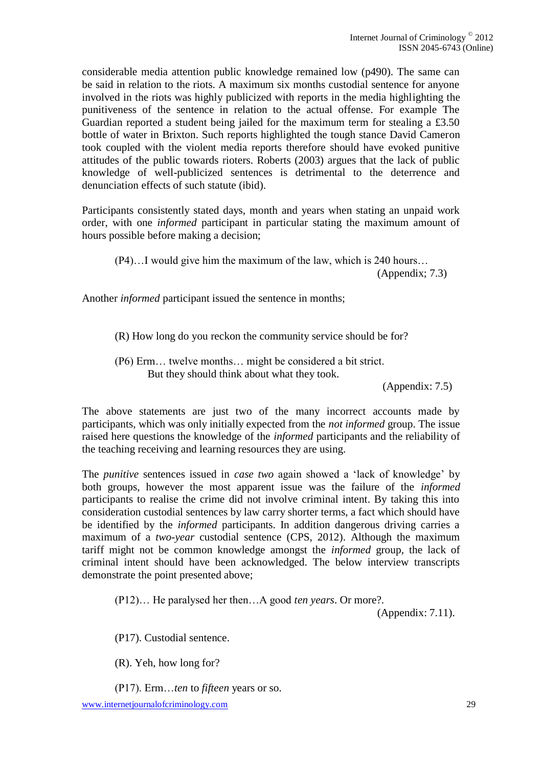considerable media attention public knowledge remained low (p490). The same can be said in relation to the riots. A maximum six months custodial sentence for anyone involved in the riots was highly publicized with reports in the media highlighting the punitiveness of the sentence in relation to the actual offense. For example The Guardian reported a student being jailed for the maximum term for stealing a £3.50 bottle of water in Brixton. Such reports highlighted the tough stance David Cameron took coupled with the violent media reports therefore should have evoked punitive attitudes of the public towards rioters. Roberts (2003) argues that the lack of public knowledge of well-publicized sentences is detrimental to the deterrence and denunciation effects of such statute (ibid).

Participants consistently stated days, month and years when stating an unpaid work order, with one *informed* participant in particular stating the maximum amount of hours possible before making a decision;

(P4)…I would give him the maximum of the law, which is 240 hours…

(Appendix; 7.3)

Another *informed* participant issued the sentence in months;

(R) How long do you reckon the community service should be for?

(P6) Erm… twelve months… might be considered a bit strict. But they should think about what they took.

(Appendix: 7.5)

The above statements are just two of the many incorrect accounts made by participants, which was only initially expected from the *not informed* group. The issue raised here questions the knowledge of the *informed* participants and the reliability of the teaching receiving and learning resources they are using.

The *punitive* sentences issued in *case two* again showed a 'lack of knowledge' by both groups, however the most apparent issue was the failure of the *informed*  participants to realise the crime did not involve criminal intent. By taking this into consideration custodial sentences by law carry shorter terms, a fact which should have be identified by the *informed* participants. In addition dangerous driving carries a maximum of a *two-year* custodial sentence (CPS, 2012). Although the maximum tariff might not be common knowledge amongst the *informed* group, the lack of criminal intent should have been acknowledged. The below interview transcripts demonstrate the point presented above;

(P12)… He paralysed her then…A good *ten years*. Or more?.

(Appendix: 7.11).

(P17). Custodial sentence.

(R). Yeh, how long for?

(P17). Erm…*ten* to *fifteen* years or so.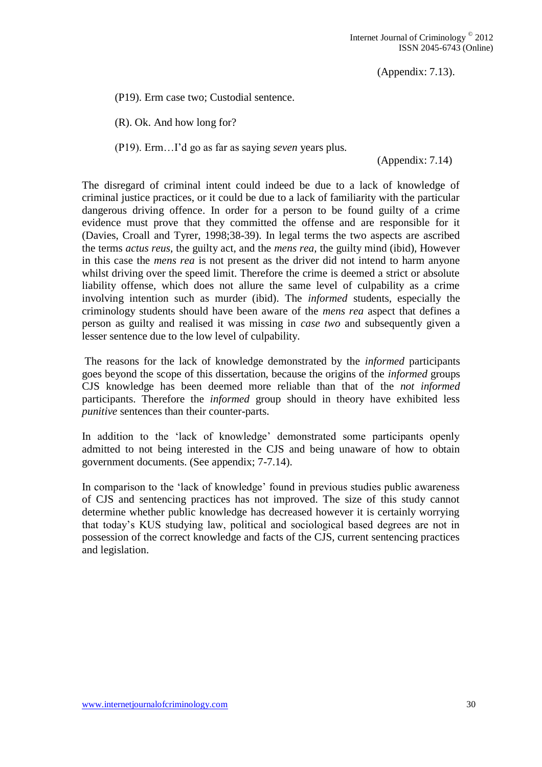(Appendix: 7.13).

(P19). Erm case two; Custodial sentence.

(R). Ok. And how long for?

(P19). Erm…I'd go as far as saying *seven* years plus.

(Appendix: 7.14)

The disregard of criminal intent could indeed be due to a lack of knowledge of criminal justice practices, or it could be due to a lack of familiarity with the particular dangerous driving offence. In order for a person to be found guilty of a crime evidence must prove that they committed the offense and are responsible for it (Davies, Croall and Tyrer, 1998;38-39). In legal terms the two aspects are ascribed the terms *actus reus,* the guilty act, and the *mens rea,* the guilty mind (ibid), However in this case the *mens rea* is not present as the driver did not intend to harm anyone whilst driving over the speed limit. Therefore the crime is deemed a strict or absolute liability offense, which does not allure the same level of culpability as a crime involving intention such as murder (ibid). The *informed* students, especially the criminology students should have been aware of the *mens rea* aspect that defines a person as guilty and realised it was missing in *case two* and subsequently given a lesser sentence due to the low level of culpability.

The reasons for the lack of knowledge demonstrated by the *informed* participants goes beyond the scope of this dissertation, because the origins of the *informed* groups CJS knowledge has been deemed more reliable than that of the *not informed* participants. Therefore the *informed* group should in theory have exhibited less *punitive* sentences than their counter-parts.

In addition to the 'lack of knowledge' demonstrated some participants openly admitted to not being interested in the CJS and being unaware of how to obtain government documents. (See appendix; 7-7.14).

In comparison to the 'lack of knowledge' found in previous studies public awareness of CJS and sentencing practices has not improved. The size of this study cannot determine whether public knowledge has decreased however it is certainly worrying that today's KUS studying law, political and sociological based degrees are not in possession of the correct knowledge and facts of the CJS, current sentencing practices and legislation.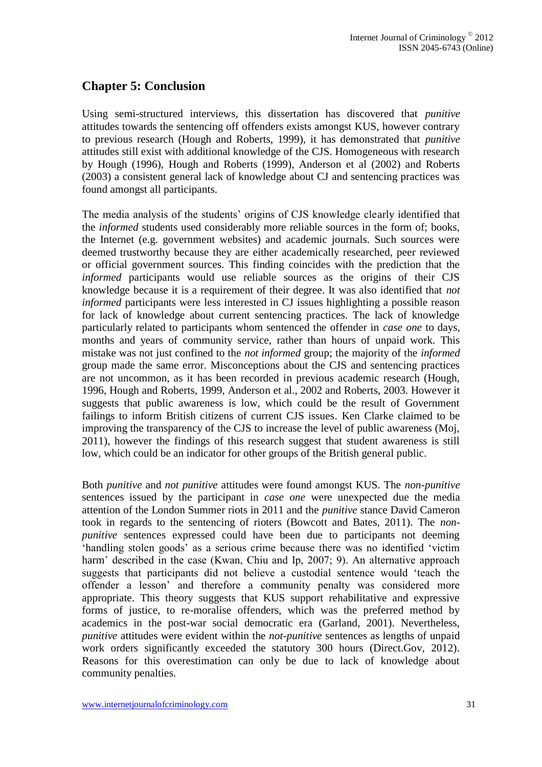# **Chapter 5: Conclusion**

Using semi-structured interviews, this dissertation has discovered that *punitive* attitudes towards the sentencing off offenders exists amongst KUS, however contrary to previous research (Hough and Roberts, 1999), it has demonstrated that *punitive* attitudes still exist with additional knowledge of the CJS. Homogeneous with research by Hough (1996), Hough and Roberts (1999), Anderson et al (2002) and Roberts (2003) a consistent general lack of knowledge about CJ and sentencing practices was found amongst all participants.

The media analysis of the students' origins of CJS knowledge clearly identified that the *informed* students used considerably more reliable sources in the form of; books, the Internet (e.g. government websites) and academic journals. Such sources were deemed trustworthy because they are either academically researched, peer reviewed or official government sources. This finding coincides with the prediction that the *informed* participants would use reliable sources as the origins of their CJS knowledge because it is a requirement of their degree. It was also identified that *not informed* participants were less interested in CJ issues highlighting a possible reason for lack of knowledge about current sentencing practices. The lack of knowledge particularly related to participants whom sentenced the offender in *case one* to days, months and years of community service, rather than hours of unpaid work. This mistake was not just confined to the *not informed* group; the majority of the *informed* group made the same error. Misconceptions about the CJS and sentencing practices are not uncommon, as it has been recorded in previous academic research (Hough, 1996, Hough and Roberts, 1999, Anderson et al., 2002 and Roberts, 2003. However it suggests that public awareness is low, which could be the result of Government failings to inform British citizens of current CJS issues. Ken Clarke claimed to be improving the transparency of the CJS to increase the level of public awareness (Moj, 2011), however the findings of this research suggest that student awareness is still low, which could be an indicator for other groups of the British general public.

Both *punitive* and *not punitive* attitudes were found amongst KUS. The *non-punitive* sentences issued by the participant in *case one* were unexpected due the media attention of the London Summer riots in 2011 and the *punitive* stance David Cameron took in regards to the sentencing of rioters (Bowcott and Bates, 2011). The *nonpunitive* sentences expressed could have been due to participants not deeming 'handling stolen goods' as a serious crime because there was no identified 'victim harm' described in the case (Kwan, Chiu and Ip, 2007; 9). An alternative approach suggests that participants did not believe a custodial sentence would 'teach the offender a lesson' and therefore a community penalty was considered more appropriate. This theory suggests that KUS support rehabilitative and expressive forms of justice, to re-moralise offenders, which was the preferred method by academics in the post-war social democratic era (Garland, 2001). Nevertheless, *punitive* attitudes were evident within the *not-punitive* sentences as lengths of unpaid work orders significantly exceeded the statutory 300 hours (Direct.Gov, 2012). Reasons for this overestimation can only be due to lack of knowledge about community penalties.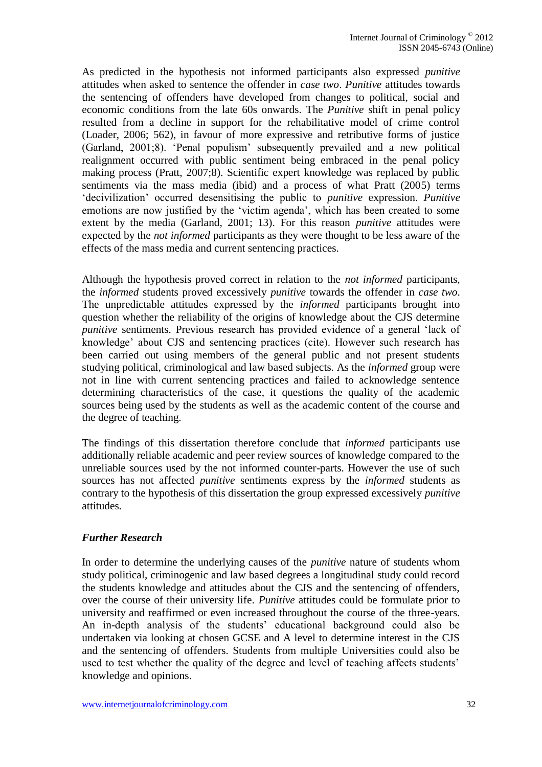As predicted in the hypothesis not informed participants also expressed *punitive* attitudes when asked to sentence the offender in *case two*. *Punitive* attitudes towards the sentencing of offenders have developed from changes to political, social and economic conditions from the late 60s onwards. The *Punitive* shift in penal policy resulted from a decline in support for the rehabilitative model of crime control (Loader, 2006; 562), in favour of more expressive and retributive forms of justice (Garland, 2001;8). 'Penal populism' subsequently prevailed and a new political realignment occurred with public sentiment being embraced in the penal policy making process (Pratt, 2007;8). Scientific expert knowledge was replaced by public sentiments via the mass media (ibid) and a process of what Pratt (2005) terms 'decivilization' occurred desensitising the public to *punitive* expression. *Punitive* emotions are now justified by the 'victim agenda', which has been created to some extent by the media (Garland, 2001; 13). For this reason *punitive* attitudes were expected by the *not informed* participants as they were thought to be less aware of the effects of the mass media and current sentencing practices.

Although the hypothesis proved correct in relation to the *not informed* participants, the *informed* students proved excessively *punitive* towards the offender in *case two*. The unpredictable attitudes expressed by the *informed* participants brought into question whether the reliability of the origins of knowledge about the CJS determine *punitive* sentiments. Previous research has provided evidence of a general 'lack of knowledge' about CJS and sentencing practices (cite). However such research has been carried out using members of the general public and not present students studying political, criminological and law based subjects. As the *informed* group were not in line with current sentencing practices and failed to acknowledge sentence determining characteristics of the case, it questions the quality of the academic sources being used by the students as well as the academic content of the course and the degree of teaching.

The findings of this dissertation therefore conclude that *informed* participants use additionally reliable academic and peer review sources of knowledge compared to the unreliable sources used by the not informed counter-parts. However the use of such sources has not affected *punitive* sentiments express by the *informed* students as contrary to the hypothesis of this dissertation the group expressed excessively *punitive*  attitudes*.*

# *Further Research*

In order to determine the underlying causes of the *punitive* nature of students whom study political, criminogenic and law based degrees a longitudinal study could record the students knowledge and attitudes about the CJS and the sentencing of offenders, over the course of their university life. *Punitive* attitudes could be formulate prior to university and reaffirmed or even increased throughout the course of the three-years. An in-depth analysis of the students' educational background could also be undertaken via looking at chosen GCSE and A level to determine interest in the CJS and the sentencing of offenders. Students from multiple Universities could also be used to test whether the quality of the degree and level of teaching affects students' knowledge and opinions.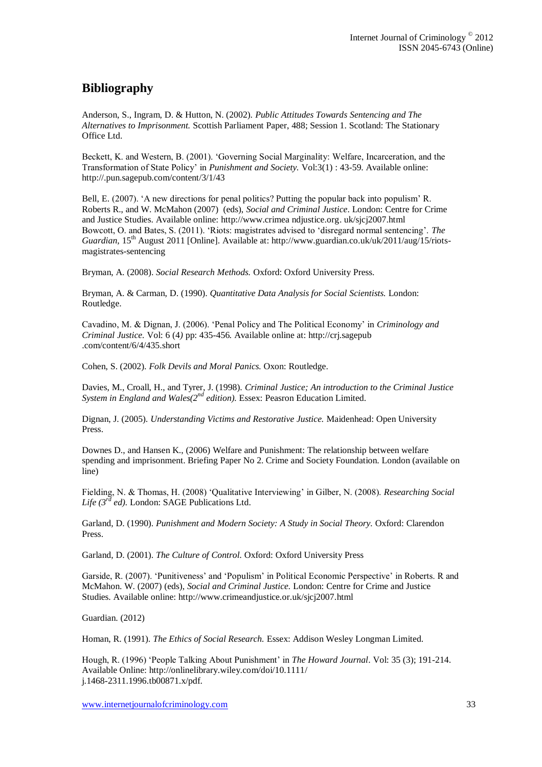# **Bibliography**

Anderson, S., Ingram, D. & Hutton, N. (2002). *Public Attitudes Towards Sentencing and The Alternatives to Imprisonment.* Scottish Parliament Paper, 488; Session 1. Scotland: The Stationary Office Ltd.

Beckett, K. and Western, B. (2001). 'Governing Social Marginality: Welfare, Incarceration, and the Transformation of State Policy' in *Punishment and Society.* Vol:3(1) : 43-59. Available online: http://.pun.sagepub.com/content/3/1/43

Bell, E. (2007). 'A new directions for penal politics? Putting the popular back into populism' R. Roberts R., and W. McMahon (2007) (eds), *Social and Criminal Justice*. London: Centre for Crime and Justice Studies. Available online: http://www.crimea ndjustice.org. uk/sjcj2007.html Bowcott, O. and Bates, S. (2011). 'Riots: magistrates advised to 'disregard normal sentencing'. *The Guardian*, 15<sup>th</sup> August 2011 [Online]. Available at: http://www.guardian.co.uk/uk/2011/aug/15/riotsmagistrates-sentencing

Bryman, A. (2008). *Social Research Methods.* Oxford: Oxford University Press.

Bryman, A. & Carman, D. (1990). *Quantitative Data Analysis for Social Scientists.* London: Routledge.

Cavadino, M. & Dignan, J. (2006). 'Penal Policy and The Political Economy' in *Criminology and Criminal Justice.* Vol: 6 (4*)* pp: 435-456*.* Available online at: http://crj.sagepub .com/content/6/4/435.short

Cohen, S. (2002). *Folk Devils and Moral Panics.* Oxon: Routledge.

Davies, M., Croall, H., and Tyrer, J. (1998). *Criminal Justice; An introduction to the Criminal Justice System in England and Wales(2nd edition).* Essex: Peasron Education Limited.

Dignan, J. (2005). *Understanding Victims and Restorative Justice.* Maidenhead: Open University Press.

Downes D., and Hansen K., (2006) Welfare and Punishment: The relationship between welfare spending and imprisonment. Briefing Paper No 2. Crime and Society Foundation. London (available on line)

Fielding, N. & Thomas, H. (2008) 'Qualitative Interviewing' in Gilber, N. (2008). *Researching Social*  Life  $(3^{r\bar{d}}$  *ed*). London: SAGE Publications Ltd.

Garland, D. (1990). *Punishment and Modern Society: A Study in Social Theory.* Oxford: Clarendon Press.

Garland, D. (2001). *The Culture of Control.* Oxford: Oxford University Press

Garside, R. (2007). 'Punitiveness' and 'Populism' in Political Economic Perspective' in Roberts. R and McMahon. W. (2007) (eds), *Social and Criminal Justice.* London: Centre for Crime and Justice Studies. Available online: http://www.crimeandjustice.or.uk/sjcj2007.html

Guardian. (2012)

Homan, R. (1991). *The Ethics of Social Research.* Essex: Addison Wesley Longman Limited.

Hough, R. (1996) 'People Talking About Punishment' in *The Howard Journal*. Vol: 35 (3); 191-214. Available Online: http://onlinelibrary.wiley.com/doi/10.1111/ j.1468-2311.1996.tb00871.x/pdf.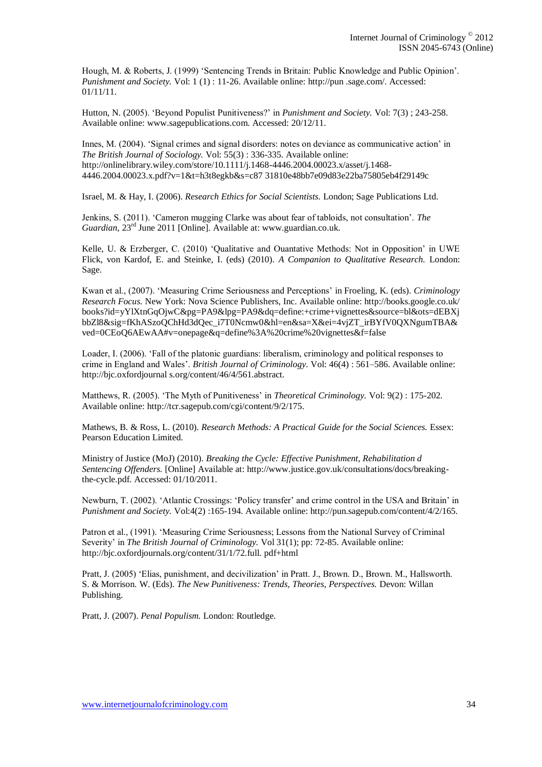Hough, M. & Roberts, J. (1999) 'Sentencing Trends in Britain: Public Knowledge and Public Opinion'. *Punishment and Society.* Vol: 1 (1) : 11-26. Available online: http://pun .sage.com/. Accessed: 01/11/11.

Hutton, N. (2005). 'Beyond Populist Punitiveness?' in *Punishment and Society.* Vol: 7(3) ; 243-258. Available online: www.sagepublications.com. Accessed: 20/12/11.

Innes, M. (2004). 'Signal crimes and signal disorders: notes on deviance as communicative action' in *The British Journal of Sociology.* Vol: 55(3) : 336-335. Available online: http://onlinelibrary.wiley.com/store/10.1111/j.1468-4446.2004.00023.x/asset/j.1468- 4446.2004.00023.x.pdf?v=1&t=h3t8egkb&s=c87 31810e48bb7e09d83e22ba75805eb4f29149c

Israel, M. & Hay, I. (2006). *Research Ethics for Social Scientists.* London; Sage Publications Ltd.

Jenkins, S. (2011). 'Cameron mugging Clarke was about fear of tabloids, not consultation'. *The Guardian, 23<sup>rd</sup>* June 2011 [Online]. Available at: www.guardian.co.uk.

Kelle, U. & Erzberger, C. (2010) 'Qualitative and Ouantative Methods: Not in Opposition' in UWE Flick, von Kardof, E. and Steinke, I. (eds) (2010). *A Companion to Qualitative Research.* London: Sage.

Kwan et al., (2007). 'Measuring Crime Seriousness and Perceptions' in Froeling, K. (eds). *Criminology Research Focus.* New York: Nova Science Publishers, Inc. Available online: http://books.google.co.uk/ books?id=yYlXtnGqOjwC&pg=PA9&lpg=PA9&dq=define:+crime+vignettes&source=bl&ots=dEBXj bbZl8&sig=fKhASzoQChHd3dQec\_i7T0Ncmw0&hl=en&sa=X&ei=4vjZT\_irBYfV0QXNgumTBA& ved=0CEoQ6AEwAA#v=onepage&q=define%3A%20crime%20vignettes&f=false

Loader, I. (2006). 'Fall of the platonic guardians: liberalism, criminology and political responses to crime in England and Wales'. *British Journal of Criminology*. Vol: 46(4) : 561–586. Available online: http://bjc.oxfordjournal s.org/content/46/4/561.abstract.

Matthews, R. (2005). 'The Myth of Punitiveness' in *Theoretical Criminology.* Vol: 9(2) : 175-202. Available online: http://tcr.sagepub.com/cgi/content/9/2/175.

Mathews, B. & Ross, L. (2010). *Research Methods: A Practical Guide for the Social Sciences.* Essex: Pearson Education Limited.

Ministry of Justice (MoJ) (2010). *Breaking the Cycle: Effective Punishment, Rehabilitation d Sentencing Offenders.* [Online] Available at: http://www.justice.gov.uk/consultations/docs/breakingthe-cycle.pdf. Accessed: 01/10/2011.

Newburn, T. (2002). 'Atlantic Crossings: 'Policy transfer' and crime control in the USA and Britain' in *Punishment and Society.* Vol:4(2) :165-194. Available online: http://pun.sagepub.com/content/4/2/165.

Patron et al., (1991). 'Measuring Crime Seriousness; Lessons from the National Survey of Criminal Severity' in *The British Journal of Criminology.* Vol 31(1); pp: 72-85. Available online: http://bjc.oxfordjournals.org/content/31/1/72.full. pdf+html

Pratt, J. (2005) 'Elias, punishment, and decivilization' in Pratt. J., Brown. D., Brown. M., Hallsworth. S. & Morrison. W. (Eds). *The New Punitiveness: Trends, Theories, Perspectives.* Devon: Willan Publishing.

Pratt, J. (2007). *Penal Populism.* London: Routledge.